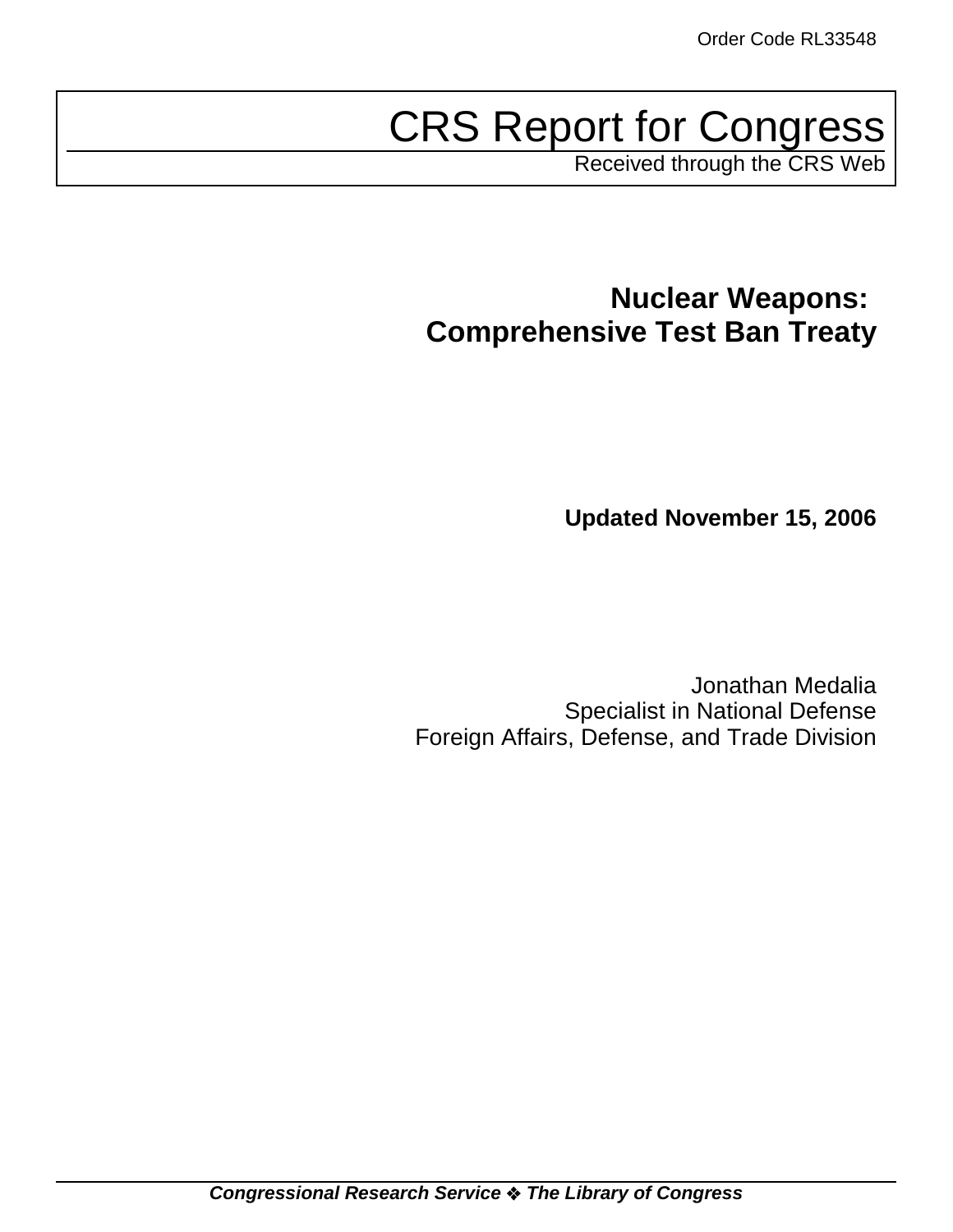# CRS Report for Congress

Received through the CRS Web

# **Nuclear Weapons: Comprehensive Test Ban Treaty**

**Updated November 15, 2006**

Jonathan Medalia Specialist in National Defense Foreign Affairs, Defense, and Trade Division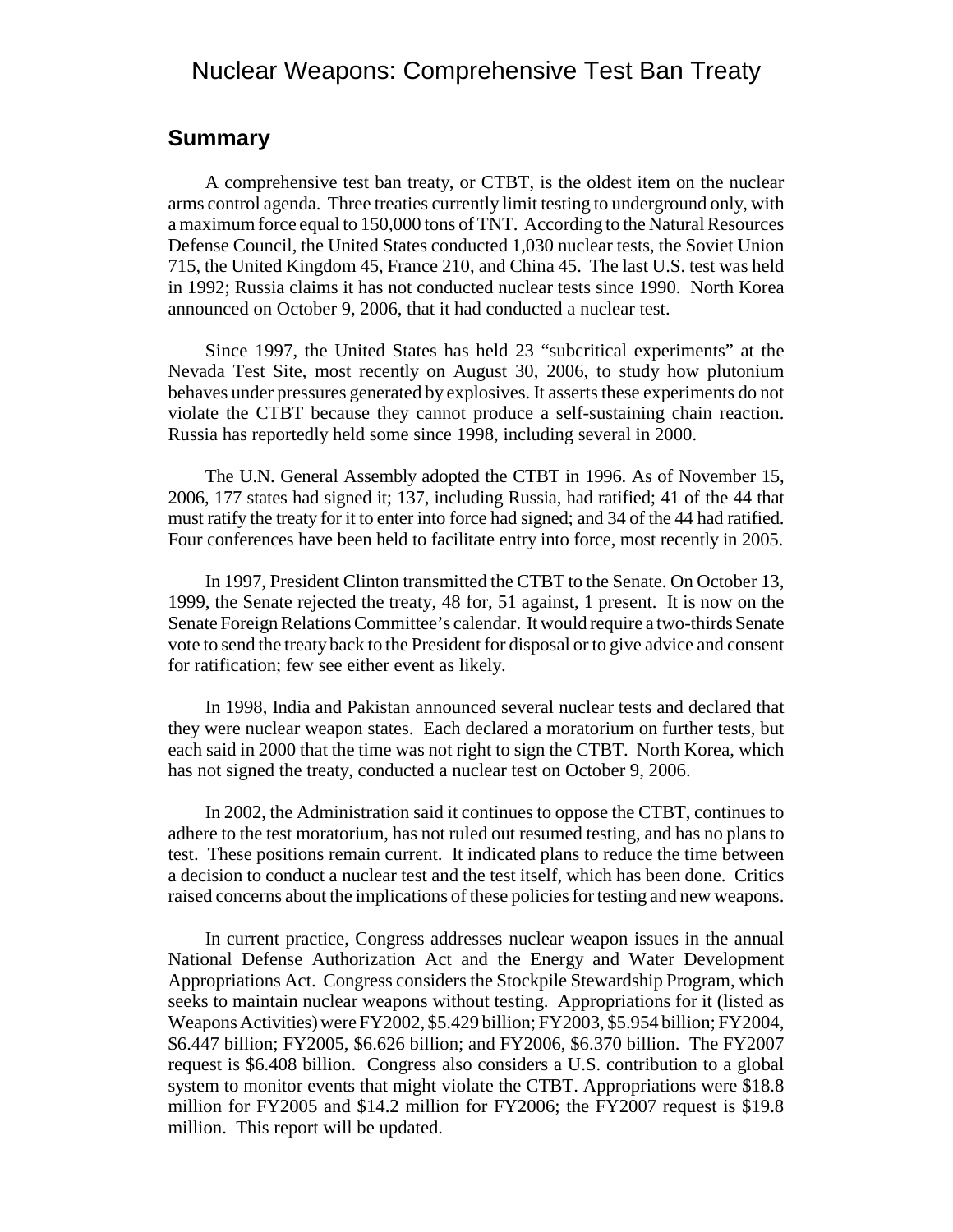# Nuclear Weapons: Comprehensive Test Ban Treaty

### **Summary**

A comprehensive test ban treaty, or CTBT, is the oldest item on the nuclear arms control agenda. Three treaties currently limit testing to underground only, with a maximum force equal to 150,000 tons of TNT. According to the Natural Resources Defense Council, the United States conducted 1,030 nuclear tests, the Soviet Union 715, the United Kingdom 45, France 210, and China 45. The last U.S. test was held in 1992; Russia claims it has not conducted nuclear tests since 1990. North Korea announced on October 9, 2006, that it had conducted a nuclear test.

Since 1997, the United States has held 23 "subcritical experiments" at the Nevada Test Site, most recently on August 30, 2006, to study how plutonium behaves under pressures generated by explosives. It asserts these experiments do not violate the CTBT because they cannot produce a self-sustaining chain reaction. Russia has reportedly held some since 1998, including several in 2000.

The U.N. General Assembly adopted the CTBT in 1996. As of November 15, 2006, 177 states had signed it; 137, including Russia, had ratified; 41 of the 44 that must ratify the treaty for it to enter into force had signed; and 34 of the 44 had ratified. Four conferences have been held to facilitate entry into force, most recently in 2005.

In 1997, President Clinton transmitted the CTBT to the Senate. On October 13, 1999, the Senate rejected the treaty, 48 for, 51 against, 1 present. It is now on the Senate Foreign Relations Committee's calendar. It would require a two-thirds Senate vote to send the treaty back to the President for disposal or to give advice and consent for ratification; few see either event as likely.

In 1998, India and Pakistan announced several nuclear tests and declared that they were nuclear weapon states. Each declared a moratorium on further tests, but each said in 2000 that the time was not right to sign the CTBT. North Korea, which has not signed the treaty, conducted a nuclear test on October 9, 2006.

In 2002, the Administration said it continues to oppose the CTBT, continues to adhere to the test moratorium, has not ruled out resumed testing, and has no plans to test. These positions remain current. It indicated plans to reduce the time between a decision to conduct a nuclear test and the test itself, which has been done. Critics raised concerns about the implications of these policies for testing and new weapons.

In current practice, Congress addresses nuclear weapon issues in the annual National Defense Authorization Act and the Energy and Water Development Appropriations Act. Congress considers the Stockpile Stewardship Program, which seeks to maintain nuclear weapons without testing. Appropriations for it (listed as Weapons Activities) were FY2002, \$5.429 billion; FY2003, \$5.954 billion; FY2004, \$6.447 billion; FY2005, \$6.626 billion; and FY2006, \$6.370 billion. The FY2007 request is \$6.408 billion. Congress also considers a U.S. contribution to a global system to monitor events that might violate the CTBT. Appropriations were \$18.8 million for FY2005 and \$14.2 million for FY2006; the FY2007 request is \$19.8 million. This report will be updated.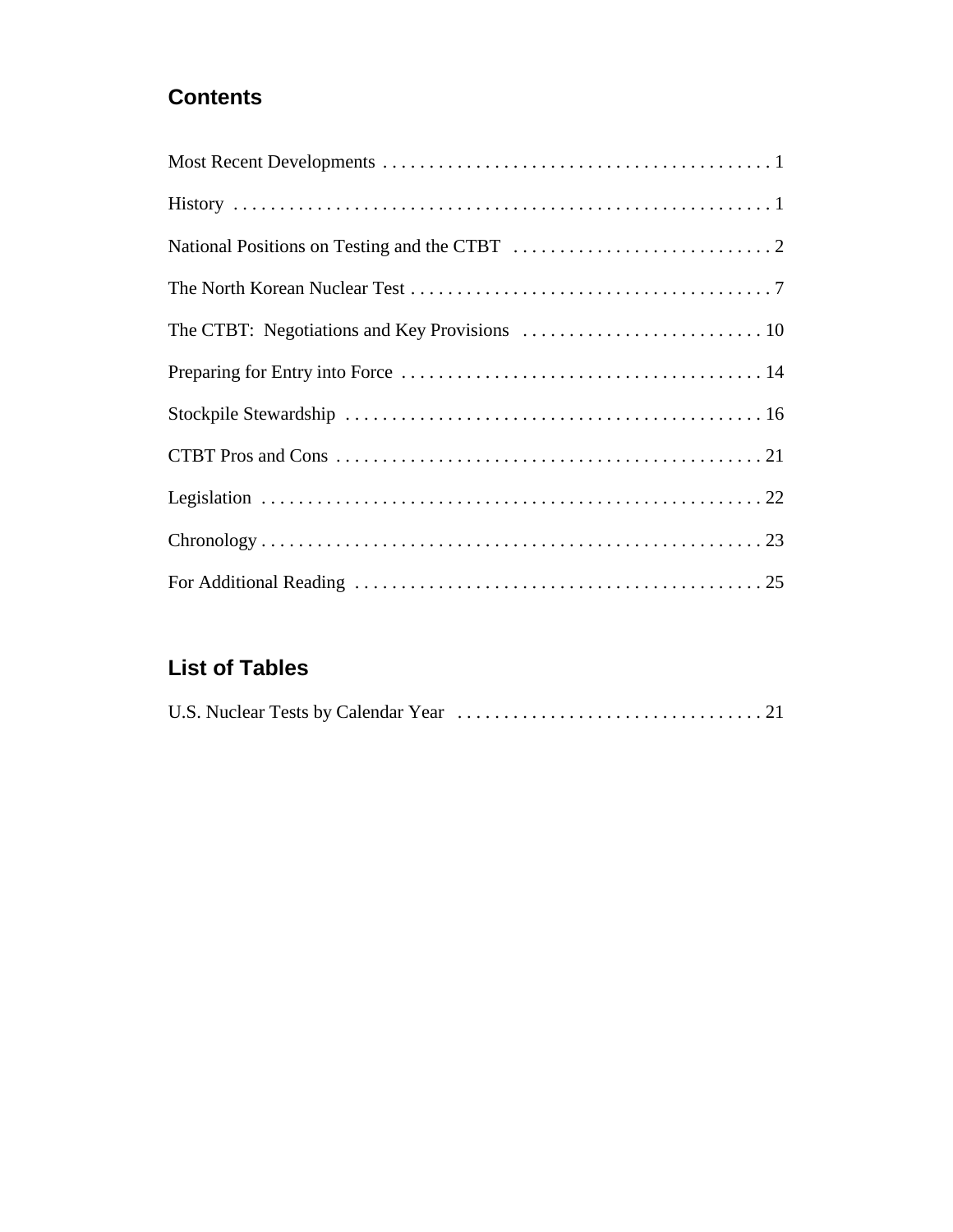# **Contents**

# **List of Tables**

|--|--|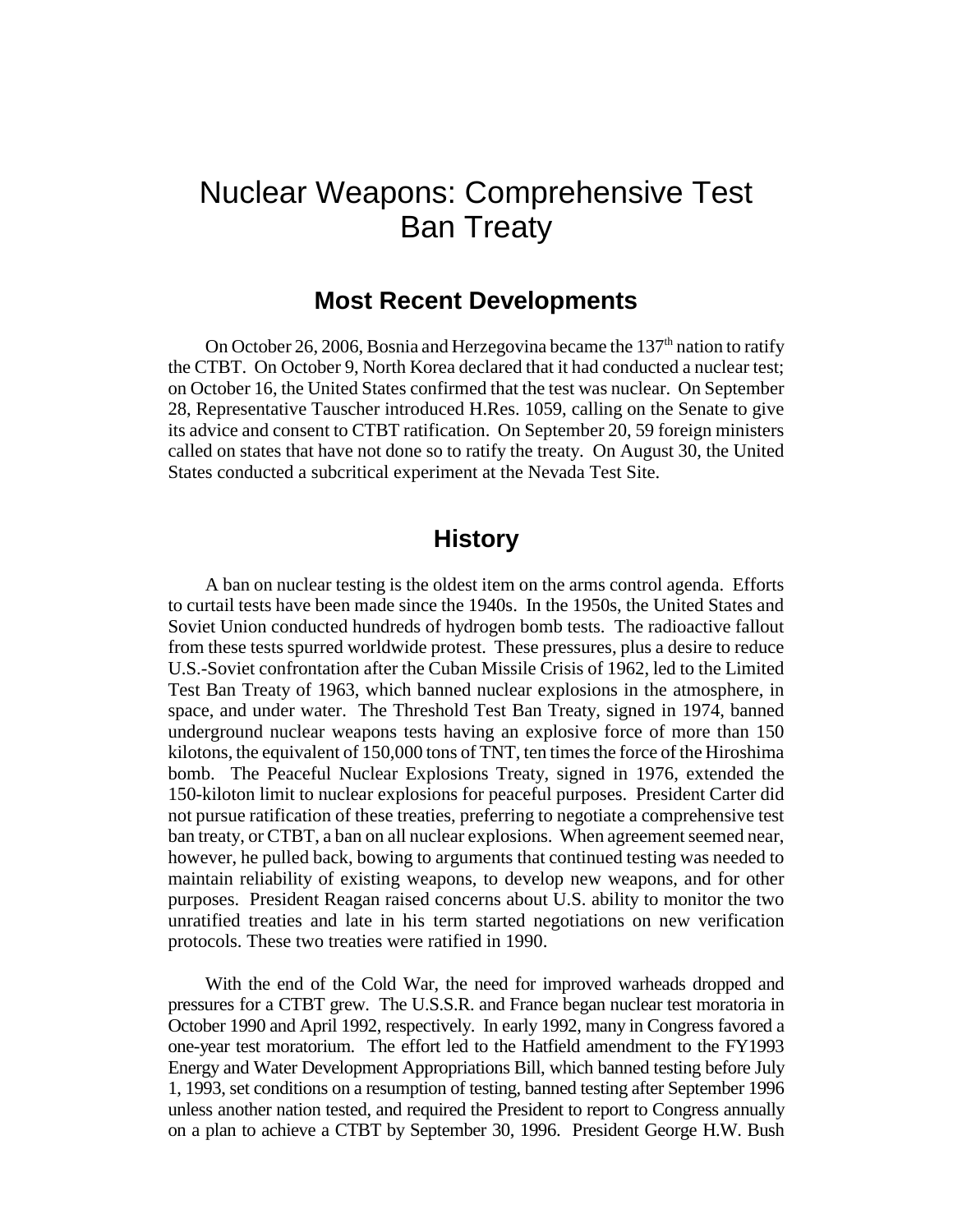# Nuclear Weapons: Comprehensive Test Ban Treaty

# **Most Recent Developments**

On October 26, 2006, Bosnia and Herzegovina became the  $137<sup>th</sup>$  nation to ratify the CTBT. On October 9, North Korea declared that it had conducted a nuclear test; on October 16, the United States confirmed that the test was nuclear. On September 28, Representative Tauscher introduced H.Res. 1059, calling on the Senate to give its advice and consent to CTBT ratification. On September 20, 59 foreign ministers called on states that have not done so to ratify the treaty. On August 30, the United States conducted a subcritical experiment at the Nevada Test Site.

# **History**

A ban on nuclear testing is the oldest item on the arms control agenda. Efforts to curtail tests have been made since the 1940s. In the 1950s, the United States and Soviet Union conducted hundreds of hydrogen bomb tests. The radioactive fallout from these tests spurred worldwide protest. These pressures, plus a desire to reduce U.S.-Soviet confrontation after the Cuban Missile Crisis of 1962, led to the Limited Test Ban Treaty of 1963, which banned nuclear explosions in the atmosphere, in space, and under water. The Threshold Test Ban Treaty, signed in 1974, banned underground nuclear weapons tests having an explosive force of more than 150 kilotons, the equivalent of 150,000 tons of TNT, ten times the force of the Hiroshima bomb. The Peaceful Nuclear Explosions Treaty, signed in 1976, extended the 150-kiloton limit to nuclear explosions for peaceful purposes. President Carter did not pursue ratification of these treaties, preferring to negotiate a comprehensive test ban treaty, or CTBT, a ban on all nuclear explosions. When agreement seemed near, however, he pulled back, bowing to arguments that continued testing was needed to maintain reliability of existing weapons, to develop new weapons, and for other purposes. President Reagan raised concerns about U.S. ability to monitor the two unratified treaties and late in his term started negotiations on new verification protocols. These two treaties were ratified in 1990.

With the end of the Cold War, the need for improved warheads dropped and pressures for a CTBT grew. The U.S.S.R. and France began nuclear test moratoria in October 1990 and April 1992, respectively. In early 1992, many in Congress favored a one-year test moratorium. The effort led to the Hatfield amendment to the FY1993 Energy and Water Development Appropriations Bill, which banned testing before July 1, 1993, set conditions on a resumption of testing, banned testing after September 1996 unless another nation tested, and required the President to report to Congress annually on a plan to achieve a CTBT by September 30, 1996. President George H.W. Bush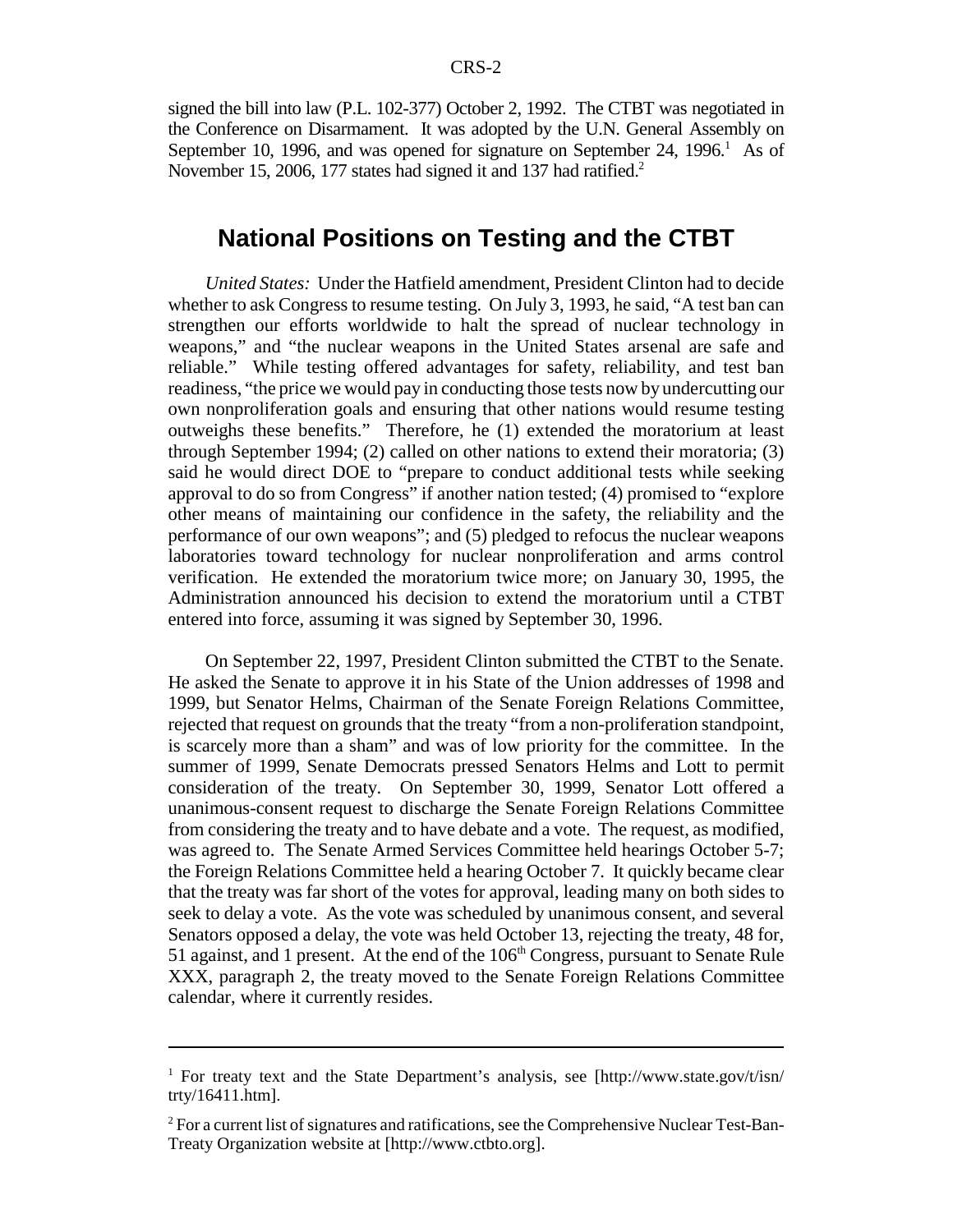signed the bill into law (P.L. 102-377) October 2, 1992. The CTBT was negotiated in the Conference on Disarmament. It was adopted by the U.N. General Assembly on September 10, 1996, and was opened for signature on September 24, 1996.<sup>1</sup> As of November 15, 2006, 177 states had signed it and 137 had ratified.<sup>2</sup>

# **National Positions on Testing and the CTBT**

*United States:* Under the Hatfield amendment, President Clinton had to decide whether to ask Congress to resume testing. On July 3, 1993, he said, "A test ban can strengthen our efforts worldwide to halt the spread of nuclear technology in weapons," and "the nuclear weapons in the United States arsenal are safe and reliable." While testing offered advantages for safety, reliability, and test ban readiness, "the price we would pay in conducting those tests now by undercutting our own nonproliferation goals and ensuring that other nations would resume testing outweighs these benefits." Therefore, he (1) extended the moratorium at least through September 1994; (2) called on other nations to extend their moratoria; (3) said he would direct DOE to "prepare to conduct additional tests while seeking approval to do so from Congress" if another nation tested; (4) promised to "explore other means of maintaining our confidence in the safety, the reliability and the performance of our own weapons"; and (5) pledged to refocus the nuclear weapons laboratories toward technology for nuclear nonproliferation and arms control verification. He extended the moratorium twice more; on January 30, 1995, the Administration announced his decision to extend the moratorium until a CTBT entered into force, assuming it was signed by September 30, 1996.

On September 22, 1997, President Clinton submitted the CTBT to the Senate. He asked the Senate to approve it in his State of the Union addresses of 1998 and 1999, but Senator Helms, Chairman of the Senate Foreign Relations Committee, rejected that request on grounds that the treaty "from a non-proliferation standpoint, is scarcely more than a sham" and was of low priority for the committee. In the summer of 1999, Senate Democrats pressed Senators Helms and Lott to permit consideration of the treaty. On September 30, 1999, Senator Lott offered a unanimous-consent request to discharge the Senate Foreign Relations Committee from considering the treaty and to have debate and a vote. The request, as modified, was agreed to. The Senate Armed Services Committee held hearings October 5-7; the Foreign Relations Committee held a hearing October 7. It quickly became clear that the treaty was far short of the votes for approval, leading many on both sides to seek to delay a vote. As the vote was scheduled by unanimous consent, and several Senators opposed a delay, the vote was held October 13, rejecting the treaty, 48 for, 51 against, and 1 present. At the end of the  $106<sup>th</sup>$  Congress, pursuant to Senate Rule XXX, paragraph 2, the treaty moved to the Senate Foreign Relations Committee calendar, where it currently resides.

<sup>&</sup>lt;sup>1</sup> For treaty text and the State Department's analysis, see [http://www.state.gov/t/isn/ trty/16411.htm].

 $2^2$  For a current list of signatures and ratifications, see the Comprehensive Nuclear Test-Ban-Treaty Organization website at [http://www.ctbto.org].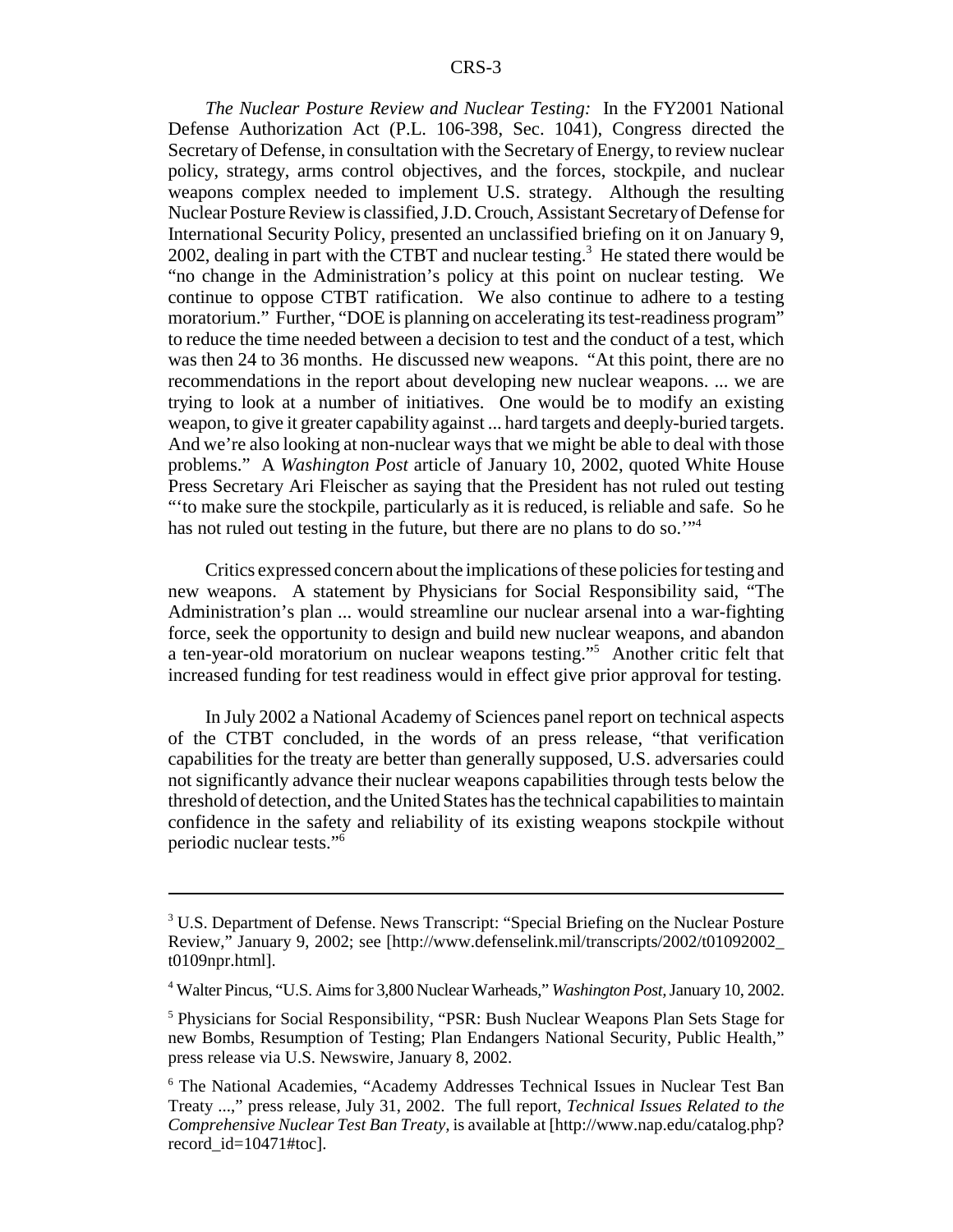*The Nuclear Posture Review and Nuclear Testing:* In the FY2001 National Defense Authorization Act (P.L. 106-398, Sec. 1041), Congress directed the Secretary of Defense, in consultation with the Secretary of Energy, to review nuclear policy, strategy, arms control objectives, and the forces, stockpile, and nuclear weapons complex needed to implement U.S. strategy. Although the resulting Nuclear Posture Review is classified, J.D. Crouch, Assistant Secretary of Defense for International Security Policy, presented an unclassified briefing on it on January 9, 2002, dealing in part with the CTBT and nuclear testing.<sup>3</sup> He stated there would be "no change in the Administration's policy at this point on nuclear testing. We continue to oppose CTBT ratification. We also continue to adhere to a testing moratorium." Further, "DOE is planning on accelerating its test-readiness program" to reduce the time needed between a decision to test and the conduct of a test, which was then 24 to 36 months. He discussed new weapons. "At this point, there are no recommendations in the report about developing new nuclear weapons. ... we are trying to look at a number of initiatives. One would be to modify an existing weapon, to give it greater capability against ... hard targets and deeply-buried targets. And we're also looking at non-nuclear ways that we might be able to deal with those problems." A *Washington Post* article of January 10, 2002, quoted White House Press Secretary Ari Fleischer as saying that the President has not ruled out testing "'to make sure the stockpile, particularly as it is reduced, is reliable and safe. So he has not ruled out testing in the future, but there are no plans to do so."<sup>4</sup>

Critics expressed concern about the implications of these policies for testing and new weapons. A statement by Physicians for Social Responsibility said, "The Administration's plan ... would streamline our nuclear arsenal into a war-fighting force, seek the opportunity to design and build new nuclear weapons, and abandon a ten-year-old moratorium on nuclear weapons testing."5 Another critic felt that increased funding for test readiness would in effect give prior approval for testing.

In July 2002 a National Academy of Sciences panel report on technical aspects of the CTBT concluded, in the words of an press release, "that verification capabilities for the treaty are better than generally supposed, U.S. adversaries could not significantly advance their nuclear weapons capabilities through tests below the threshold of detection, and the United States has the technical capabilities to maintain confidence in the safety and reliability of its existing weapons stockpile without periodic nuclear tests."6

<sup>&</sup>lt;sup>3</sup> U.S. Department of Defense. News Transcript: "Special Briefing on the Nuclear Posture Review," January 9, 2002; see [http://www.defenselink.mil/transcripts/2002/t01092002\_ t0109npr.html].

<sup>4</sup> Walter Pincus, "U.S. Aims for 3,800 Nuclear Warheads," *Washington Post,* January 10, 2002.

<sup>&</sup>lt;sup>5</sup> Physicians for Social Responsibility, "PSR: Bush Nuclear Weapons Plan Sets Stage for new Bombs, Resumption of Testing; Plan Endangers National Security, Public Health," press release via U.S. Newswire, January 8, 2002.

<sup>6</sup> The National Academies, "Academy Addresses Technical Issues in Nuclear Test Ban Treaty ...," press release, July 31, 2002. The full report, *Technical Issues Related to the Comprehensive Nuclear Test Ban Treaty,* is available at [http://www.nap.edu/catalog.php? record\_id=10471#toc].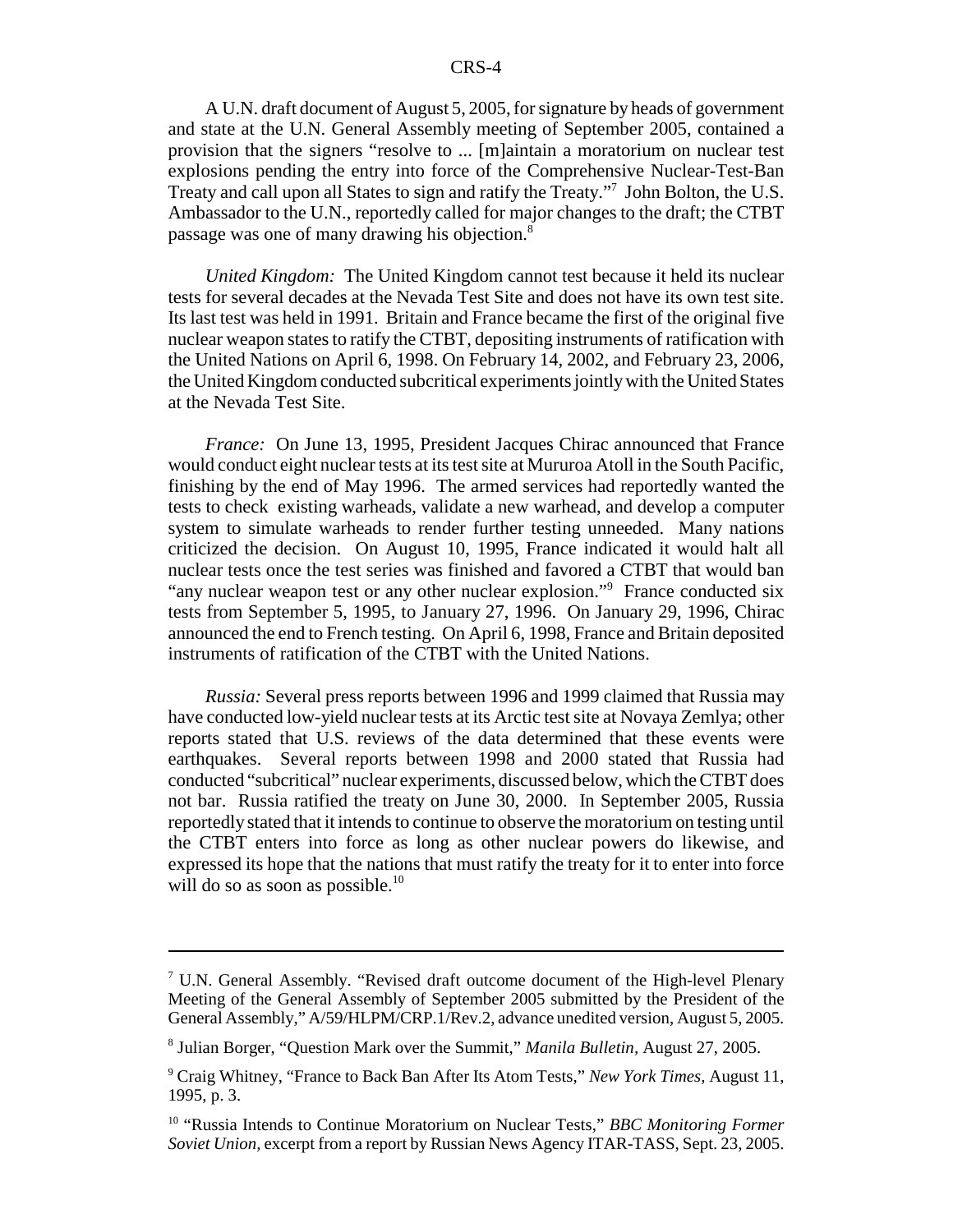A U.N. draft document of August 5, 2005, for signature by heads of government and state at the U.N. General Assembly meeting of September 2005, contained a provision that the signers "resolve to ... [m]aintain a moratorium on nuclear test explosions pending the entry into force of the Comprehensive Nuclear-Test-Ban Treaty and call upon all States to sign and ratify the Treaty."7 John Bolton, the U.S. Ambassador to the U.N., reportedly called for major changes to the draft; the CTBT passage was one of many drawing his objection.8

*United Kingdom:* The United Kingdom cannot test because it held its nuclear tests for several decades at the Nevada Test Site and does not have its own test site. Its last test was held in 1991. Britain and France became the first of the original five nuclear weapon states to ratify the CTBT, depositing instruments of ratification with the United Nations on April 6, 1998. On February 14, 2002, and February 23, 2006, the United Kingdom conducted subcritical experiments jointly with the United States at the Nevada Test Site.

*France:* On June 13, 1995, President Jacques Chirac announced that France would conduct eight nuclear tests at its test site at Mururoa Atoll in the South Pacific, finishing by the end of May 1996. The armed services had reportedly wanted the tests to check existing warheads, validate a new warhead, and develop a computer system to simulate warheads to render further testing unneeded. Many nations criticized the decision. On August 10, 1995, France indicated it would halt all nuclear tests once the test series was finished and favored a CTBT that would ban "any nuclear weapon test or any other nuclear explosion."<sup>9</sup> France conducted six tests from September 5, 1995, to January 27, 1996. On January 29, 1996, Chirac announced the end to French testing. On April 6, 1998, France and Britain deposited instruments of ratification of the CTBT with the United Nations.

*Russia:* Several press reports between 1996 and 1999 claimed that Russia may have conducted low-yield nuclear tests at its Arctic test site at Novaya Zemlya; other reports stated that U.S. reviews of the data determined that these events were earthquakes. Several reports between 1998 and 2000 stated that Russia had conducted "subcritical" nuclear experiments, discussed below, which the CTBT does not bar. Russia ratified the treaty on June 30, 2000. In September 2005, Russia reportedly stated that it intends to continue to observe the moratorium on testing until the CTBT enters into force as long as other nuclear powers do likewise, and expressed its hope that the nations that must ratify the treaty for it to enter into force will do so as soon as possible. $10$ 

<sup>&</sup>lt;sup>7</sup> U.N. General Assembly. "Revised draft outcome document of the High-level Plenary Meeting of the General Assembly of September 2005 submitted by the President of the General Assembly," A/59/HLPM/CRP.1/Rev.2, advance unedited version, August 5, 2005.

<sup>8</sup> Julian Borger, "Question Mark over the Summit," *Manila Bulletin,* August 27, 2005.

<sup>9</sup> Craig Whitney, "France to Back Ban After Its Atom Tests," *New York Times,* August 11, 1995, p. 3.

<sup>10 &</sup>quot;Russia Intends to Continue Moratorium on Nuclear Tests," *BBC Monitoring Former Soviet Union,* excerpt from a report by Russian News Agency ITAR-TASS, Sept. 23, 2005.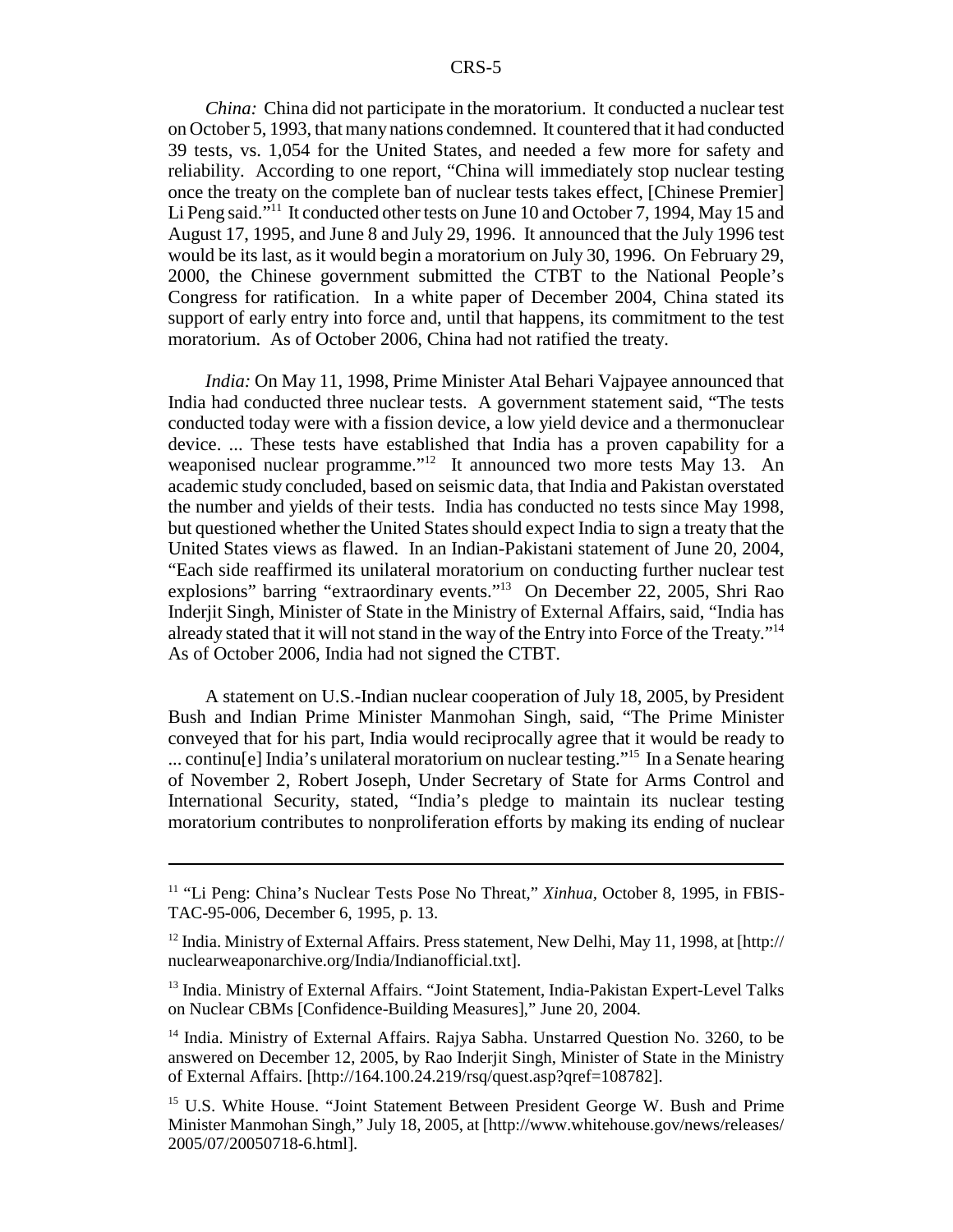*China:* China did not participate in the moratorium. It conducted a nuclear test on October 5, 1993, that many nations condemned. It countered that it had conducted 39 tests, vs. 1,054 for the United States, and needed a few more for safety and reliability. According to one report, "China will immediately stop nuclear testing once the treaty on the complete ban of nuclear tests takes effect, [Chinese Premier] Li Peng said."<sup>11</sup> It conducted other tests on June 10 and October 7, 1994, May 15 and August 17, 1995, and June 8 and July 29, 1996. It announced that the July 1996 test would be its last, as it would begin a moratorium on July 30, 1996. On February 29, 2000, the Chinese government submitted the CTBT to the National People's Congress for ratification. In a white paper of December 2004, China stated its support of early entry into force and, until that happens, its commitment to the test moratorium. As of October 2006, China had not ratified the treaty.

*India:* On May 11, 1998, Prime Minister Atal Behari Vajpayee announced that India had conducted three nuclear tests. A government statement said, "The tests conducted today were with a fission device, a low yield device and a thermonuclear device. ... These tests have established that India has a proven capability for a weaponised nuclear programme."<sup>12</sup> It announced two more tests May 13. An academic study concluded, based on seismic data, that India and Pakistan overstated the number and yields of their tests. India has conducted no tests since May 1998, but questioned whether the United States should expect India to sign a treaty that the United States views as flawed. In an Indian-Pakistani statement of June 20, 2004, "Each side reaffirmed its unilateral moratorium on conducting further nuclear test explosions" barring "extraordinary events."13 On December 22, 2005, Shri Rao Inderjit Singh, Minister of State in the Ministry of External Affairs, said, "India has already stated that it will not stand in the way of the Entry into Force of the Treaty."14 As of October 2006, India had not signed the CTBT.

A statement on U.S.-Indian nuclear cooperation of July 18, 2005, by President Bush and Indian Prime Minister Manmohan Singh, said, "The Prime Minister conveyed that for his part, India would reciprocally agree that it would be ready to ... continu[e] India's unilateral moratorium on nuclear testing."15 In a Senate hearing of November 2, Robert Joseph, Under Secretary of State for Arms Control and International Security, stated, "India's pledge to maintain its nuclear testing moratorium contributes to nonproliferation efforts by making its ending of nuclear

<sup>11 &</sup>quot;Li Peng: China's Nuclear Tests Pose No Threat," *Xinhua,* October 8, 1995, in FBIS-TAC-95-006, December 6, 1995, p. 13.

<sup>&</sup>lt;sup>12</sup> India. Ministry of External Affairs. Press statement, New Delhi, May 11, 1998, at [http:// nuclearweaponarchive.org/India/Indianofficial.txt].

<sup>&</sup>lt;sup>13</sup> India. Ministry of External Affairs. "Joint Statement, India-Pakistan Expert-Level Talks on Nuclear CBMs [Confidence-Building Measures]," June 20, 2004.

<sup>&</sup>lt;sup>14</sup> India. Ministry of External Affairs. Raiva Sabha. Unstarred Ouestion No. 3260, to be answered on December 12, 2005, by Rao Inderjit Singh, Minister of State in the Ministry of External Affairs. [http://164.100.24.219/rsq/quest.asp?qref=108782].

<sup>&</sup>lt;sup>15</sup> U.S. White House. "Joint Statement Between President George W. Bush and Prime Minister Manmohan Singh," July 18, 2005, at [http://www.whitehouse.gov/news/releases/ 2005/07/20050718-6.html].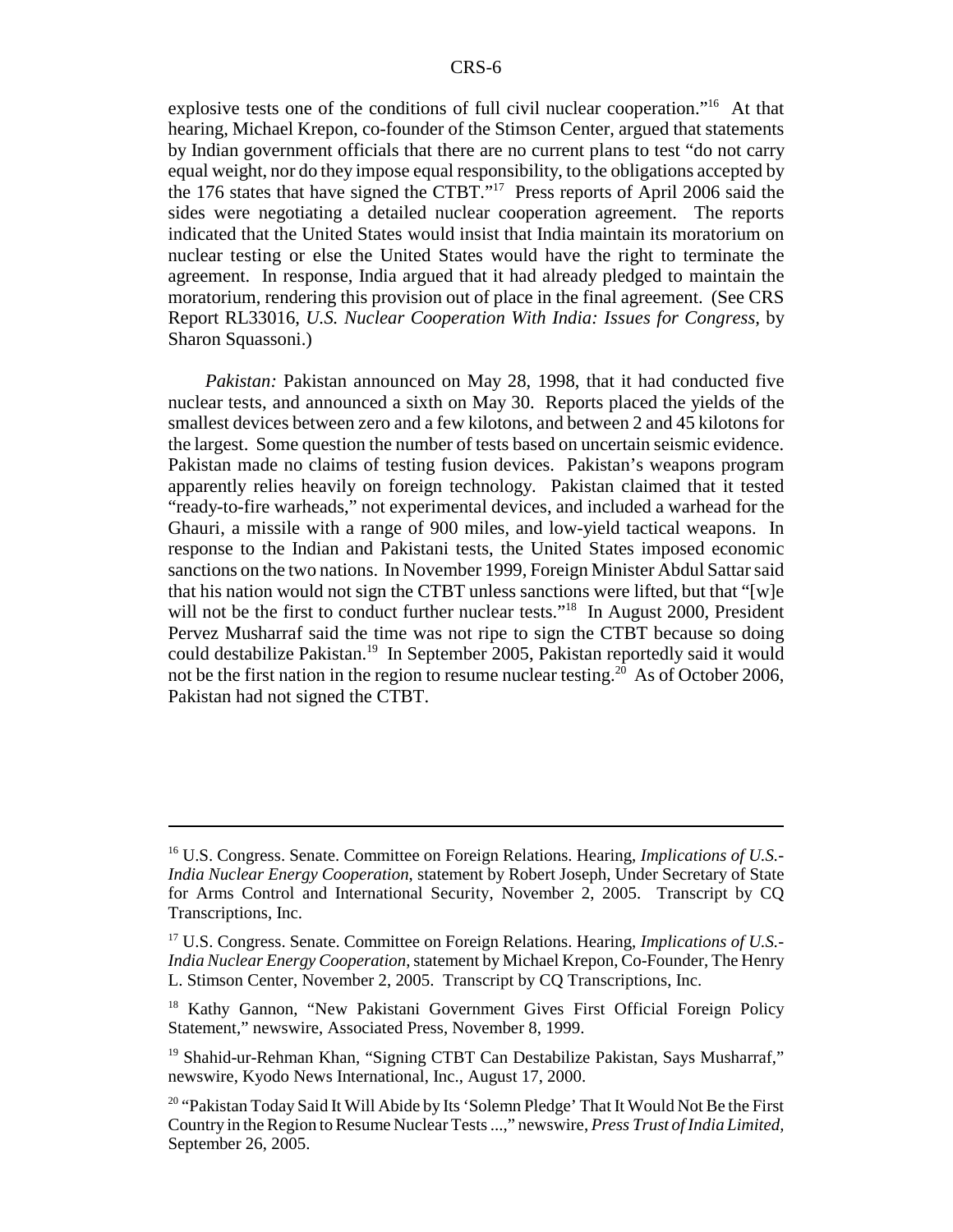explosive tests one of the conditions of full civil nuclear cooperation."<sup>16</sup> At that hearing, Michael Krepon, co-founder of the Stimson Center, argued that statements by Indian government officials that there are no current plans to test "do not carry equal weight, nor do they impose equal responsibility, to the obligations accepted by the 176 states that have signed the CTBT."17 Press reports of April 2006 said the sides were negotiating a detailed nuclear cooperation agreement. The reports indicated that the United States would insist that India maintain its moratorium on nuclear testing or else the United States would have the right to terminate the agreement. In response, India argued that it had already pledged to maintain the moratorium, rendering this provision out of place in the final agreement. (See CRS Report RL33016, *U.S. Nuclear Cooperation With India: Issues for Congress,* by Sharon Squassoni.)

*Pakistan:* Pakistan announced on May 28, 1998, that it had conducted five nuclear tests, and announced a sixth on May 30. Reports placed the yields of the smallest devices between zero and a few kilotons, and between 2 and 45 kilotons for the largest. Some question the number of tests based on uncertain seismic evidence. Pakistan made no claims of testing fusion devices. Pakistan's weapons program apparently relies heavily on foreign technology. Pakistan claimed that it tested "ready-to-fire warheads," not experimental devices, and included a warhead for the Ghauri, a missile with a range of 900 miles, and low-yield tactical weapons. In response to the Indian and Pakistani tests, the United States imposed economic sanctions on the two nations. In November 1999, Foreign Minister Abdul Sattar said that his nation would not sign the CTBT unless sanctions were lifted, but that "[w]e will not be the first to conduct further nuclear tests."<sup>18</sup> In August 2000, President Pervez Musharraf said the time was not ripe to sign the CTBT because so doing could destabilize Pakistan.<sup>19</sup> In September 2005, Pakistan reportedly said it would not be the first nation in the region to resume nuclear testing.<sup>20</sup> As of October 2006, Pakistan had not signed the CTBT.

<sup>16</sup> U.S. Congress. Senate. Committee on Foreign Relations. Hearing, *Implications of U.S.- India Nuclear Energy Cooperation*, statement by Robert Joseph, Under Secretary of State for Arms Control and International Security, November 2, 2005. Transcript by CQ Transcriptions, Inc.

<sup>17</sup> U.S. Congress. Senate. Committee on Foreign Relations. Hearing, *Implications of U.S.- India Nuclear Energy Cooperation*, statement by Michael Krepon, Co-Founder, The Henry L. Stimson Center, November 2, 2005. Transcript by CQ Transcriptions, Inc.

<sup>&</sup>lt;sup>18</sup> Kathy Gannon, "New Pakistani Government Gives First Official Foreign Policy Statement," newswire, Associated Press, November 8, 1999.

<sup>&</sup>lt;sup>19</sup> Shahid-ur-Rehman Khan, "Signing CTBT Can Destabilize Pakistan, Says Musharraf," newswire, Kyodo News International, Inc., August 17, 2000.

<sup>&</sup>lt;sup>20</sup> "Pakistan Today Said It Will Abide by Its 'Solemn Pledge' That It Would Not Be the First Country in the Region to Resume Nuclear Tests ...," newswire, *Press Trust of India Limited,* September 26, 2005.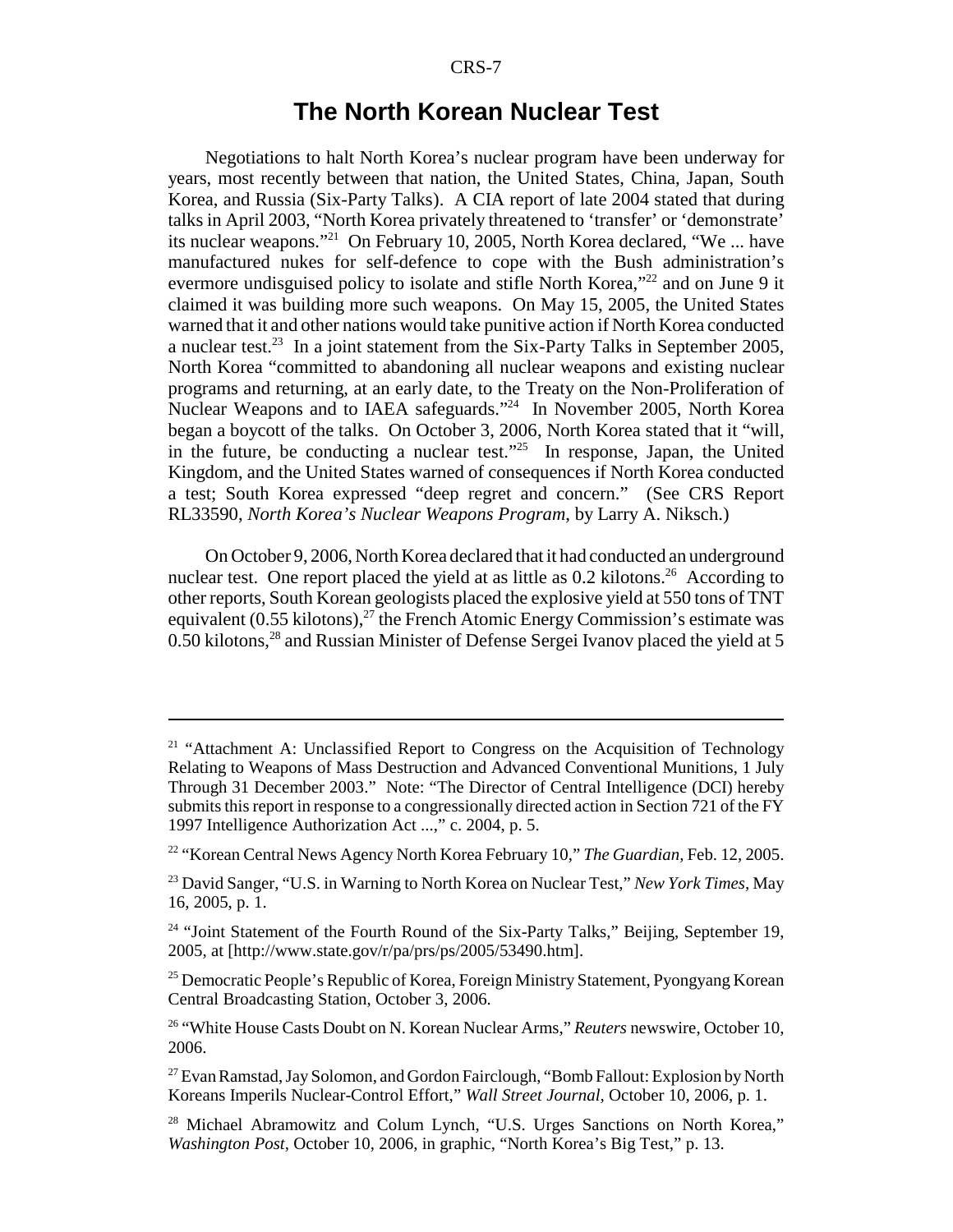### **The North Korean Nuclear Test**

Negotiations to halt North Korea's nuclear program have been underway for years, most recently between that nation, the United States, China, Japan, South Korea, and Russia (Six-Party Talks). A CIA report of late 2004 stated that during talks in April 2003, "North Korea privately threatened to 'transfer' or 'demonstrate' its nuclear weapons."21 On February 10, 2005, North Korea declared, "We ... have manufactured nukes for self-defence to cope with the Bush administration's evermore undisguised policy to isolate and stifle North Korea,"<sup>22</sup> and on June 9 it claimed it was building more such weapons. On May 15, 2005, the United States warned that it and other nations would take punitive action if North Korea conducted a nuclear test.<sup>23</sup> In a joint statement from the Six-Party Talks in September 2005, North Korea "committed to abandoning all nuclear weapons and existing nuclear programs and returning, at an early date, to the Treaty on the Non-Proliferation of Nuclear Weapons and to IAEA safeguards."24 In November 2005, North Korea began a boycott of the talks. On October 3, 2006, North Korea stated that it "will, in the future, be conducting a nuclear test."25 In response, Japan, the United Kingdom, and the United States warned of consequences if North Korea conducted a test; South Korea expressed "deep regret and concern." (See CRS Report RL33590, *North Korea's Nuclear Weapons Program*, by Larry A. Niksch.)

On October 9, 2006, North Korea declared that it had conducted an underground nuclear test. One report placed the yield at as little as  $0.2$  kilotons.<sup>26</sup> According to other reports, South Korean geologists placed the explosive yield at 550 tons of TNT equivalent  $(0.55 \text{ kilotons})$ ,<sup>27</sup> the French Atomic Energy Commission's estimate was 0.50 kilotons,<sup>28</sup> and Russian Minister of Defense Sergei Ivanov placed the yield at 5

<sup>&</sup>lt;sup>21</sup> "Attachment A: Unclassified Report to Congress on the Acquisition of Technology Relating to Weapons of Mass Destruction and Advanced Conventional Munitions, 1 July Through 31 December 2003." Note: "The Director of Central Intelligence (DCI) hereby submits this report in response to a congressionally directed action in Section 721 of the FY 1997 Intelligence Authorization Act ...," c. 2004, p. 5.

<sup>22 &</sup>quot;Korean Central News Agency North Korea February 10," *The Guardian,* Feb. 12, 2005.

<sup>23</sup> David Sanger, "U.S. in Warning to North Korea on Nuclear Test," *New York Times,* May 16, 2005, p. 1.

 $24$  "Joint Statement of the Fourth Round of the Six-Party Talks," Beijing, September 19, 2005, at [http://www.state.gov/r/pa/prs/ps/2005/53490.htm].

<sup>&</sup>lt;sup>25</sup> Democratic People's Republic of Korea, Foreign Ministry Statement, Pyongyang Korean Central Broadcasting Station, October 3, 2006.

<sup>26 &</sup>quot;White House Casts Doubt on N. Korean Nuclear Arms," *Reuters* newswire, October 10, 2006.

<sup>&</sup>lt;sup>27</sup> Evan Ramstad, Jay Solomon, and Gordon Fairclough, "Bomb Fallout: Explosion by North Koreans Imperils Nuclear-Control Effort," *Wall Street Journal,* October 10, 2006, p. 1.

<sup>&</sup>lt;sup>28</sup> Michael Abramowitz and Colum Lynch, "U.S. Urges Sanctions on North Korea," *Washington Post,* October 10, 2006, in graphic, "North Korea's Big Test," p. 13.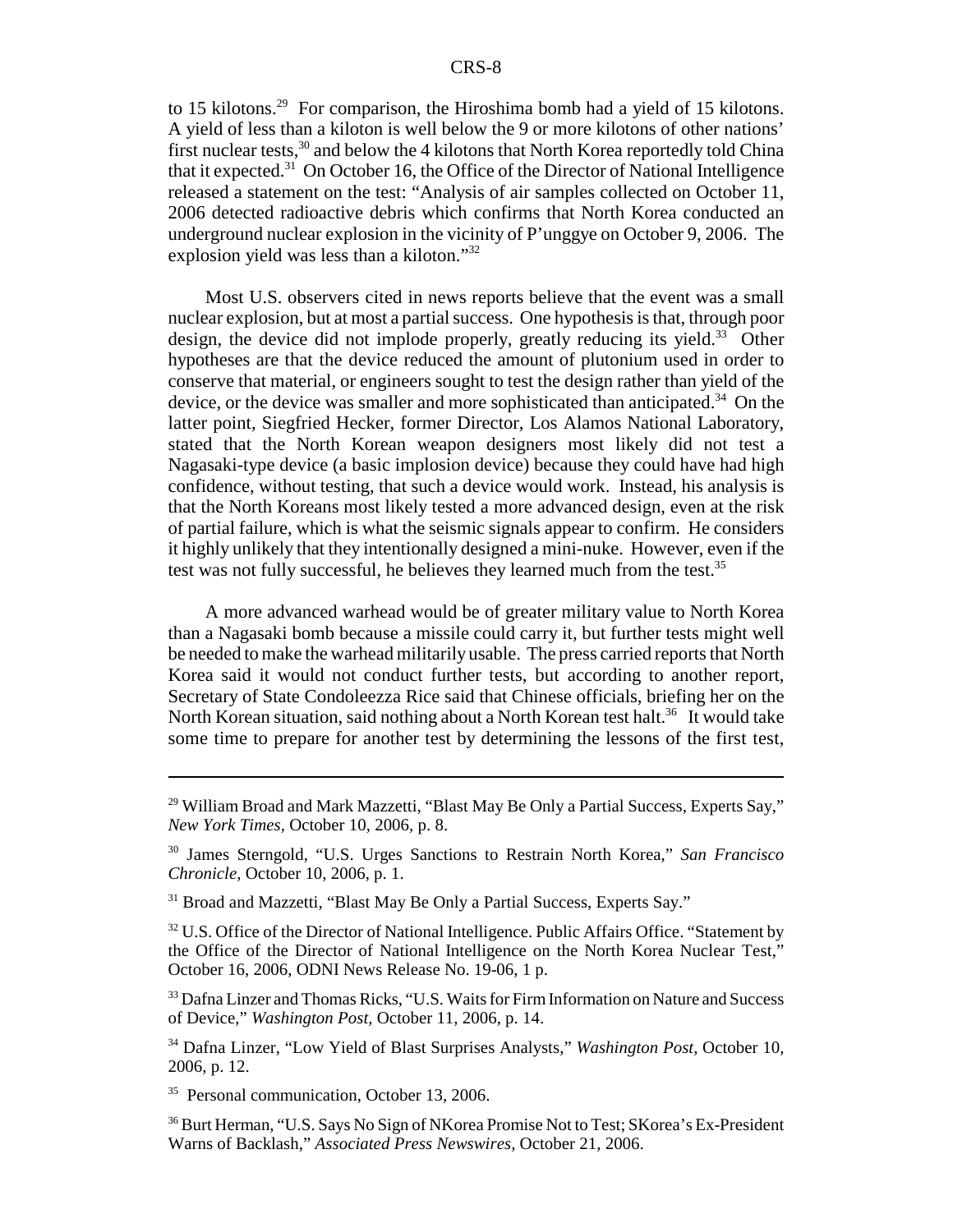to 15 kilotons.<sup>29</sup> For comparison, the Hiroshima bomb had a yield of 15 kilotons. A yield of less than a kiloton is well below the 9 or more kilotons of other nations' first nuclear tests,  $30$  and below the 4 kilotons that North Korea reportedly told China that it expected.<sup>31</sup> On October 16, the Office of the Director of National Intelligence released a statement on the test: "Analysis of air samples collected on October 11, 2006 detected radioactive debris which confirms that North Korea conducted an underground nuclear explosion in the vicinity of P'unggye on October 9, 2006. The explosion yield was less than a kiloton."32

Most U.S. observers cited in news reports believe that the event was a small nuclear explosion, but at most a partial success. One hypothesis is that, through poor design, the device did not implode properly, greatly reducing its yield.<sup>33</sup> Other hypotheses are that the device reduced the amount of plutonium used in order to conserve that material, or engineers sought to test the design rather than yield of the device, or the device was smaller and more sophisticated than anticipated.<sup>34</sup> On the latter point, Siegfried Hecker, former Director, Los Alamos National Laboratory, stated that the North Korean weapon designers most likely did not test a Nagasaki-type device (a basic implosion device) because they could have had high confidence, without testing, that such a device would work. Instead, his analysis is that the North Koreans most likely tested a more advanced design, even at the risk of partial failure, which is what the seismic signals appear to confirm. He considers it highly unlikely that they intentionally designed a mini-nuke. However, even if the test was not fully successful, he believes they learned much from the test.<sup>35</sup>

A more advanced warhead would be of greater military value to North Korea than a Nagasaki bomb because a missile could carry it, but further tests might well be needed to make the warhead militarily usable. The press carried reports that North Korea said it would not conduct further tests, but according to another report, Secretary of State Condoleezza Rice said that Chinese officials, briefing her on the North Korean situation, said nothing about a North Korean test halt.<sup>36</sup> It would take some time to prepare for another test by determining the lessons of the first test,

 $32$  U.S. Office of the Director of National Intelligence. Public Affairs Office. "Statement by the Office of the Director of National Intelligence on the North Korea Nuclear Test," October 16, 2006, ODNI News Release No. 19-06, 1 p.

<sup>33</sup> Dafna Linzer and Thomas Ricks, "U.S. Waits for Firm Information on Nature and Success of Device," *Washington Post,* October 11, 2006, p. 14.

34 Dafna Linzer, "Low Yield of Blast Surprises Analysts," *Washington Post,* October 10, 2006, p. 12.

<sup>35</sup> Personal communication, October 13, 2006.

<sup>36</sup> Burt Herman, "U.S. Says No Sign of NKorea Promise Not to Test; SKorea's Ex-President Warns of Backlash," *Associated Press Newswires,* October 21, 2006.

<sup>&</sup>lt;sup>29</sup> William Broad and Mark Mazzetti, "Blast May Be Only a Partial Success, Experts Say," *New York Times,* October 10, 2006, p. 8.

<sup>30</sup> James Sterngold, "U.S. Urges Sanctions to Restrain North Korea," *San Francisco Chronicle,* October 10, 2006, p. 1.

<sup>&</sup>lt;sup>31</sup> Broad and Mazzetti, "Blast May Be Only a Partial Success, Experts Say."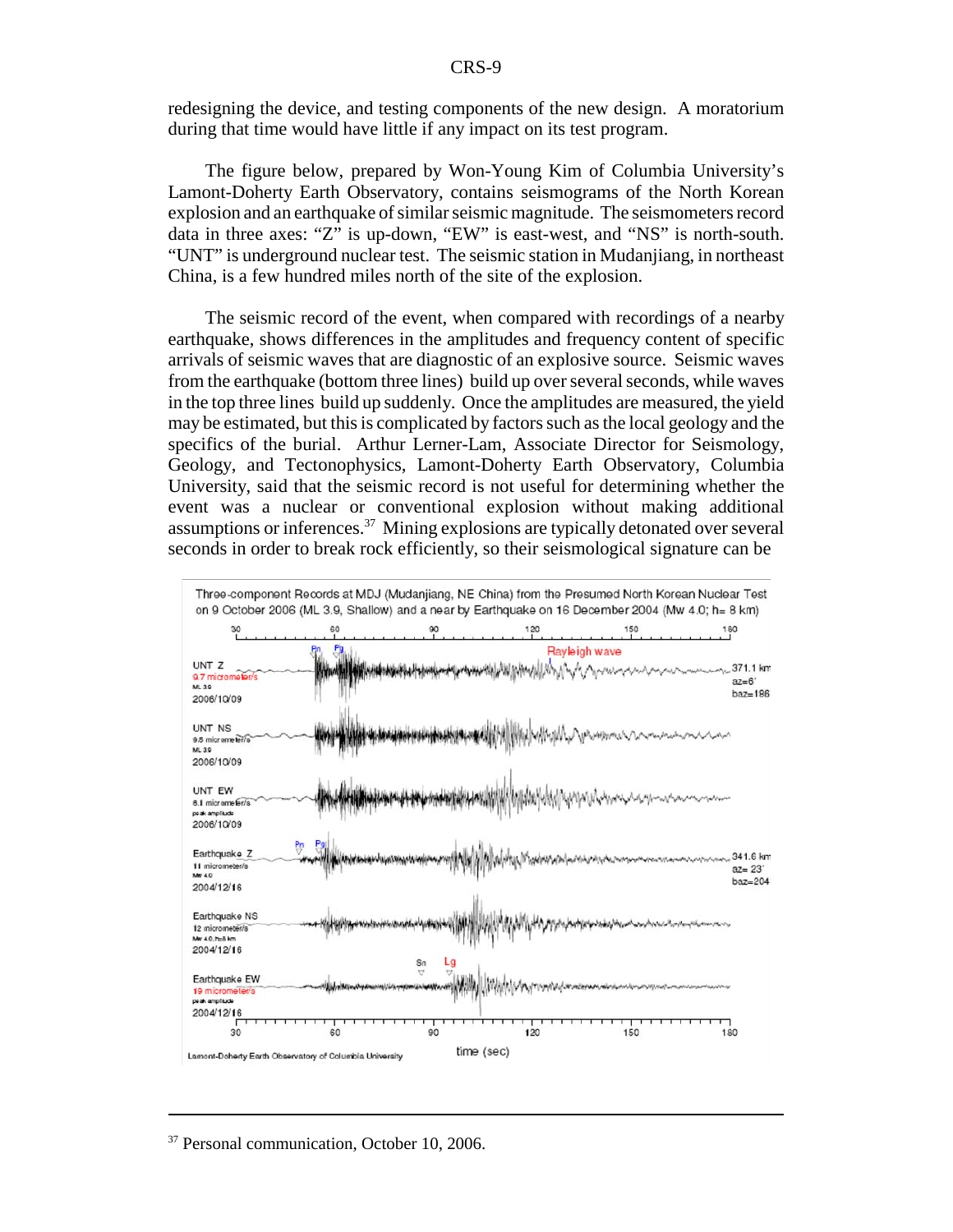redesigning the device, and testing components of the new design. A moratorium during that time would have little if any impact on its test program.

The figure below, prepared by Won-Young Kim of Columbia University's Lamont-Doherty Earth Observatory, contains seismograms of the North Korean explosion and an earthquake of similar seismic magnitude. The seismometers record data in three axes: "Z" is up-down, "EW" is east-west, and "NS" is north-south. "UNT" is underground nuclear test. The seismic station in Mudanjiang, in northeast China, is a few hundred miles north of the site of the explosion.

The seismic record of the event, when compared with recordings of a nearby earthquake, shows differences in the amplitudes and frequency content of specific arrivals of seismic waves that are diagnostic of an explosive source. Seismic waves from the earthquake (bottom three lines) build up over several seconds, while waves in the top three lines build up suddenly. Once the amplitudes are measured, the yield may be estimated, but this is complicated by factors such as the local geology and the specifics of the burial. Arthur Lerner-Lam, Associate Director for Seismology, Geology, and Tectonophysics, Lamont-Doherty Earth Observatory, Columbia University, said that the seismic record is not useful for determining whether the event was a nuclear or conventional explosion without making additional assumptions or inferences.<sup>37</sup> Mining explosions are typically detonated over several seconds in order to break rock efficiently, so their seismological signature can be



<sup>&</sup>lt;sup>37</sup> Personal communication, October 10, 2006.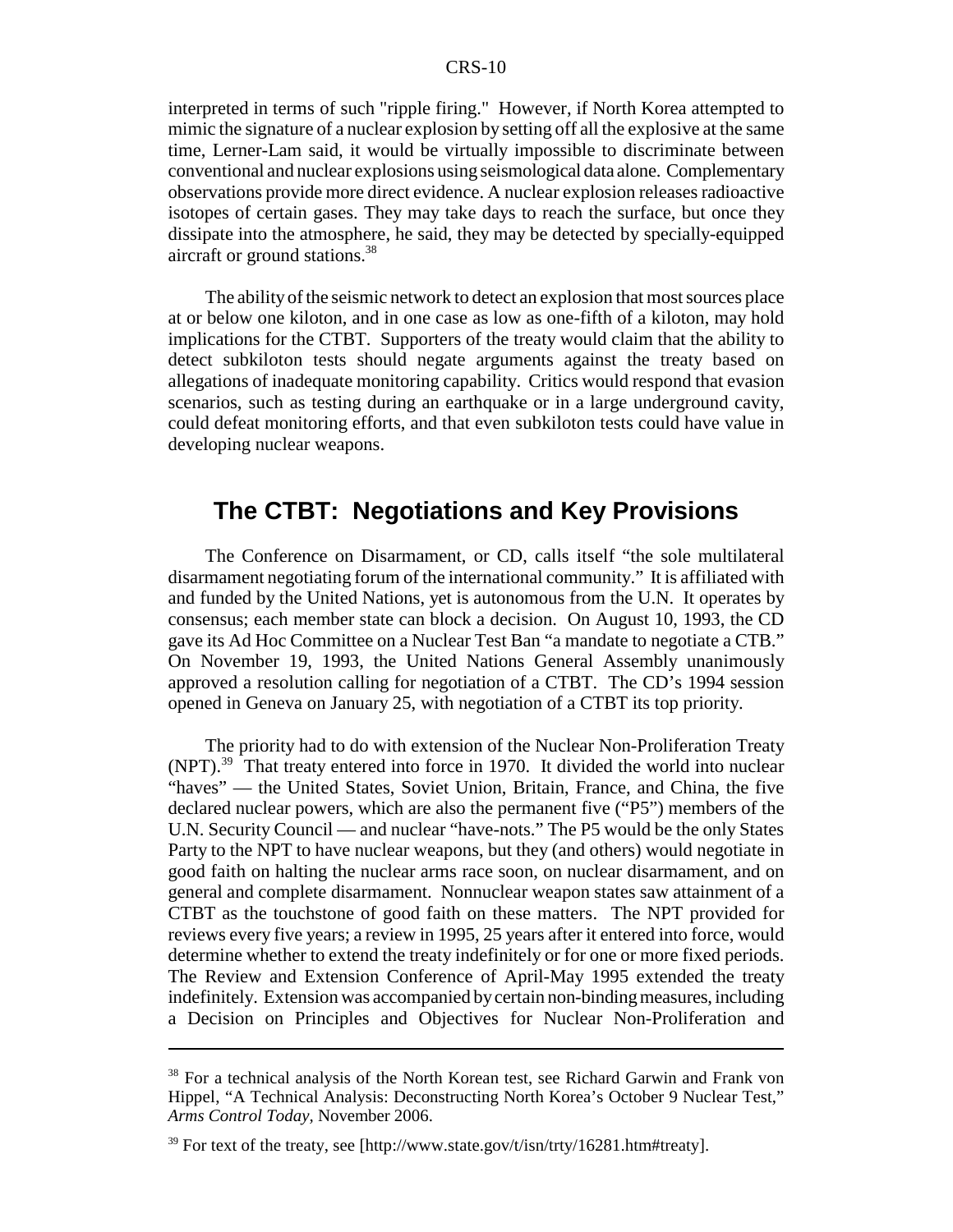interpreted in terms of such "ripple firing." However, if North Korea attempted to mimic the signature of a nuclear explosion by setting off all the explosive at the same time, Lerner-Lam said, it would be virtually impossible to discriminate between conventional and nuclear explosions using seismological data alone. Complementary observations provide more direct evidence. A nuclear explosion releases radioactive isotopes of certain gases. They may take days to reach the surface, but once they dissipate into the atmosphere, he said, they may be detected by specially-equipped aircraft or ground stations.<sup>38</sup>

The ability of the seismic network to detect an explosion that most sources place at or below one kiloton, and in one case as low as one-fifth of a kiloton, may hold implications for the CTBT. Supporters of the treaty would claim that the ability to detect subkiloton tests should negate arguments against the treaty based on allegations of inadequate monitoring capability. Critics would respond that evasion scenarios, such as testing during an earthquake or in a large underground cavity, could defeat monitoring efforts, and that even subkiloton tests could have value in developing nuclear weapons.

# **The CTBT: Negotiations and Key Provisions**

The Conference on Disarmament, or CD, calls itself "the sole multilateral disarmament negotiating forum of the international community." It is affiliated with and funded by the United Nations, yet is autonomous from the U.N. It operates by consensus; each member state can block a decision. On August 10, 1993, the CD gave its Ad Hoc Committee on a Nuclear Test Ban "a mandate to negotiate a CTB." On November 19, 1993, the United Nations General Assembly unanimously approved a resolution calling for negotiation of a CTBT. The CD's 1994 session opened in Geneva on January 25, with negotiation of a CTBT its top priority.

The priority had to do with extension of the Nuclear Non-Proliferation Treaty (NPT).39 That treaty entered into force in 1970. It divided the world into nuclear "haves" — the United States, Soviet Union, Britain, France, and China, the five declared nuclear powers, which are also the permanent five ("P5") members of the U.N. Security Council — and nuclear "have-nots." The P5 would be the only States Party to the NPT to have nuclear weapons, but they (and others) would negotiate in good faith on halting the nuclear arms race soon, on nuclear disarmament, and on general and complete disarmament. Nonnuclear weapon states saw attainment of a CTBT as the touchstone of good faith on these matters. The NPT provided for reviews every five years; a review in 1995, 25 years after it entered into force, would determine whether to extend the treaty indefinitely or for one or more fixed periods. The Review and Extension Conference of April-May 1995 extended the treaty indefinitely. Extension was accompanied by certain non-binding measures, including a Decision on Principles and Objectives for Nuclear Non-Proliferation and

<sup>&</sup>lt;sup>38</sup> For a technical analysis of the North Korean test, see Richard Garwin and Frank von Hippel, "A Technical Analysis: Deconstructing North Korea's October 9 Nuclear Test," *Arms Control Today,* November 2006.

 $39$  For text of the treaty, see [http://www.state.gov/t/isn/trty/16281.htm#treaty].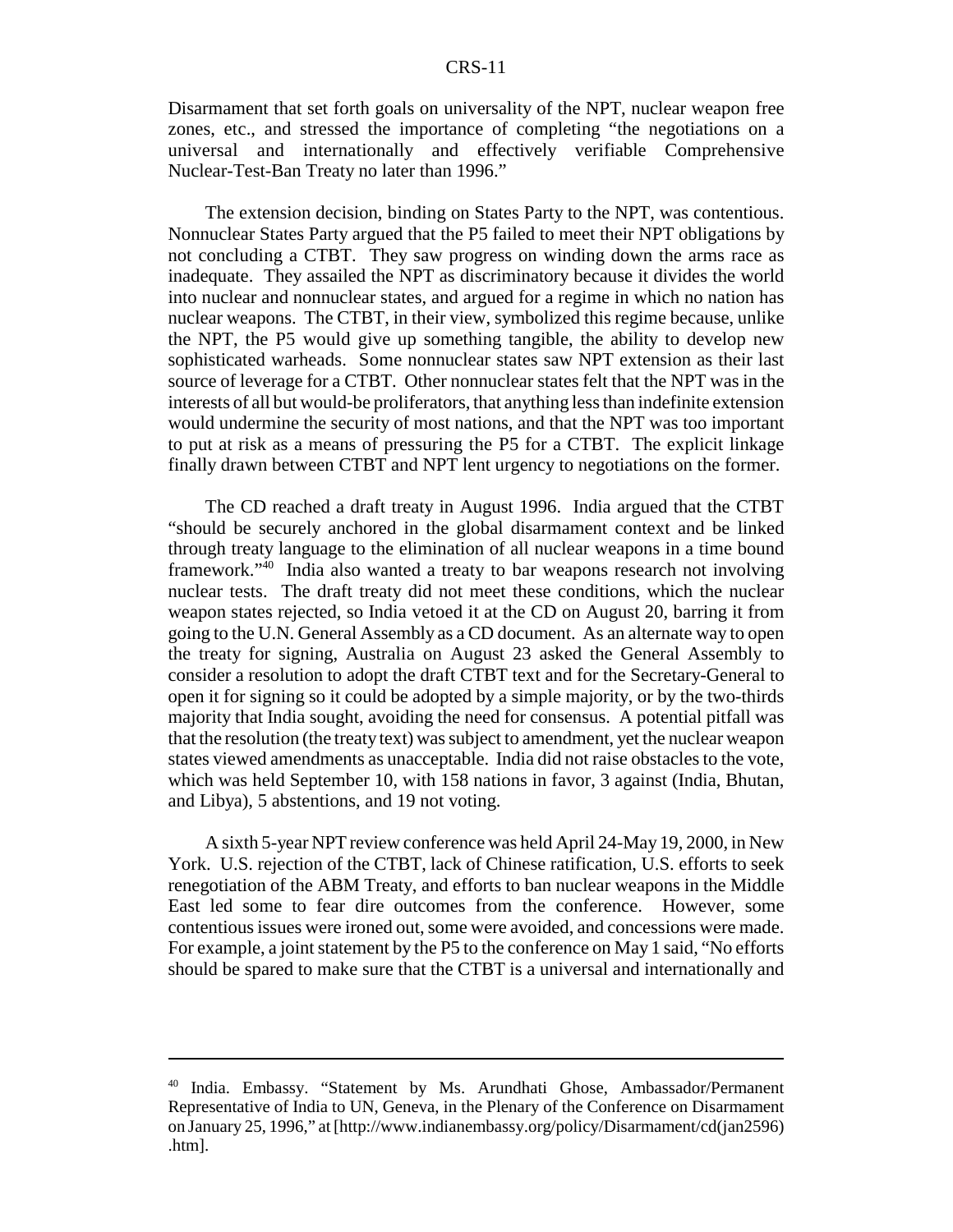Disarmament that set forth goals on universality of the NPT, nuclear weapon free zones, etc., and stressed the importance of completing "the negotiations on a universal and internationally and effectively verifiable Comprehensive Nuclear-Test-Ban Treaty no later than 1996."

The extension decision, binding on States Party to the NPT, was contentious. Nonnuclear States Party argued that the P5 failed to meet their NPT obligations by not concluding a CTBT. They saw progress on winding down the arms race as inadequate. They assailed the NPT as discriminatory because it divides the world into nuclear and nonnuclear states, and argued for a regime in which no nation has nuclear weapons. The CTBT, in their view, symbolized this regime because, unlike the NPT, the P5 would give up something tangible, the ability to develop new sophisticated warheads. Some nonnuclear states saw NPT extension as their last source of leverage for a CTBT. Other nonnuclear states felt that the NPT was in the interests of all but would-be proliferators, that anything less than indefinite extension would undermine the security of most nations, and that the NPT was too important to put at risk as a means of pressuring the P5 for a CTBT. The explicit linkage finally drawn between CTBT and NPT lent urgency to negotiations on the former.

The CD reached a draft treaty in August 1996. India argued that the CTBT "should be securely anchored in the global disarmament context and be linked through treaty language to the elimination of all nuclear weapons in a time bound framework."40 India also wanted a treaty to bar weapons research not involving nuclear tests. The draft treaty did not meet these conditions, which the nuclear weapon states rejected, so India vetoed it at the CD on August 20, barring it from going to the U.N. General Assembly as a CD document. As an alternate way to open the treaty for signing, Australia on August 23 asked the General Assembly to consider a resolution to adopt the draft CTBT text and for the Secretary-General to open it for signing so it could be adopted by a simple majority, or by the two-thirds majority that India sought, avoiding the need for consensus. A potential pitfall was that the resolution (the treaty text) was subject to amendment, yet the nuclear weapon states viewed amendments as unacceptable. India did not raise obstacles to the vote, which was held September 10, with 158 nations in favor, 3 against (India, Bhutan, and Libya), 5 abstentions, and 19 not voting.

A sixth 5-year NPT review conference was held April 24-May 19, 2000, in New York. U.S. rejection of the CTBT, lack of Chinese ratification, U.S. efforts to seek renegotiation of the ABM Treaty, and efforts to ban nuclear weapons in the Middle East led some to fear dire outcomes from the conference. However, some contentious issues were ironed out, some were avoided, and concessions were made. For example, a joint statement by the P5 to the conference on May 1 said, "No efforts should be spared to make sure that the CTBT is a universal and internationally and

<sup>40</sup> India. Embassy. "Statement by Ms. Arundhati Ghose, Ambassador/Permanent Representative of India to UN, Geneva, in the Plenary of the Conference on Disarmament on January 25, 1996," at [http://www.indianembassy.org/policy/Disarmament/cd(jan2596) .htm].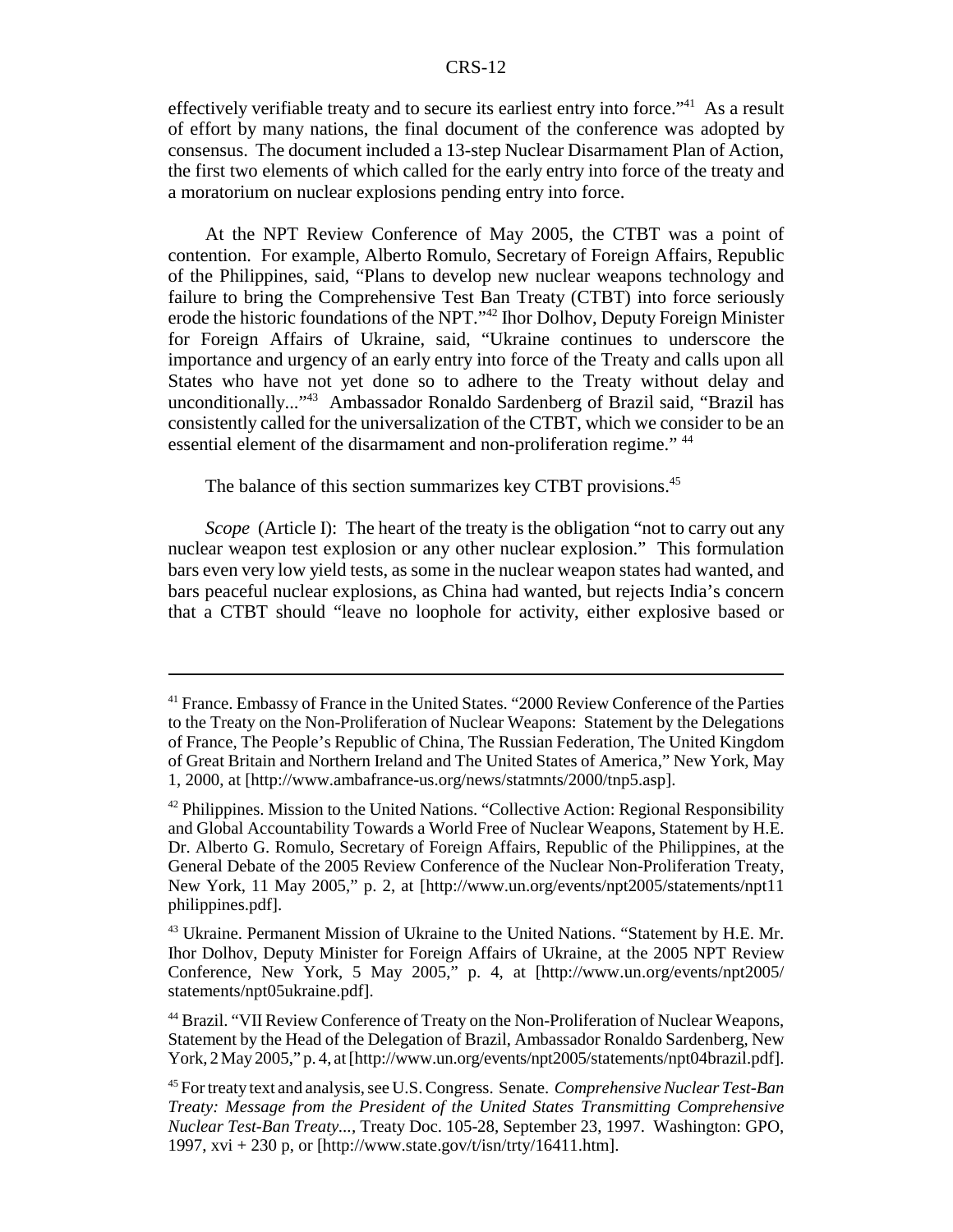effectively verifiable treaty and to secure its earliest entry into force."41 As a result of effort by many nations, the final document of the conference was adopted by consensus. The document included a 13-step Nuclear Disarmament Plan of Action, the first two elements of which called for the early entry into force of the treaty and a moratorium on nuclear explosions pending entry into force.

At the NPT Review Conference of May 2005, the CTBT was a point of contention. For example, Alberto Romulo, Secretary of Foreign Affairs, Republic of the Philippines, said, "Plans to develop new nuclear weapons technology and failure to bring the Comprehensive Test Ban Treaty (CTBT) into force seriously erode the historic foundations of the NPT."42 Ihor Dolhov, Deputy Foreign Minister for Foreign Affairs of Ukraine, said, "Ukraine continues to underscore the importance and urgency of an early entry into force of the Treaty and calls upon all States who have not yet done so to adhere to the Treaty without delay and unconditionally..."43 Ambassador Ronaldo Sardenberg of Brazil said, "Brazil has consistently called for the universalization of the CTBT, which we consider to be an essential element of the disarmament and non-proliferation regime." <sup>44</sup>

The balance of this section summarizes key CTBT provisions.<sup>45</sup>

*Scope* (Article I): The heart of the treaty is the obligation "not to carry out any nuclear weapon test explosion or any other nuclear explosion." This formulation bars even very low yield tests, as some in the nuclear weapon states had wanted, and bars peaceful nuclear explosions, as China had wanted, but rejects India's concern that a CTBT should "leave no loophole for activity, either explosive based or

<sup>&</sup>lt;sup>41</sup> France. Embassy of France in the United States. "2000 Review Conference of the Parties to the Treaty on the Non-Proliferation of Nuclear Weapons: Statement by the Delegations of France, The People's Republic of China, The Russian Federation, The United Kingdom of Great Britain and Northern Ireland and The United States of America," New York, May 1, 2000, at [http://www.ambafrance-us.org/news/statmnts/2000/tnp5.asp].

 $42$  Philippines. Mission to the United Nations. "Collective Action: Regional Responsibility and Global Accountability Towards a World Free of Nuclear Weapons, Statement by H.E. Dr. Alberto G. Romulo, Secretary of Foreign Affairs, Republic of the Philippines, at the General Debate of the 2005 Review Conference of the Nuclear Non-Proliferation Treaty, New York, 11 May 2005," p. 2, at [http://www.un.org/events/npt2005/statements/npt11 philippines.pdf].

<sup>&</sup>lt;sup>43</sup> Ukraine. Permanent Mission of Ukraine to the United Nations. "Statement by H.E. Mr. Ihor Dolhov, Deputy Minister for Foreign Affairs of Ukraine, at the 2005 NPT Review Conference, New York, 5 May 2005," p. 4, at [http://www.un.org/events/npt2005/ statements/npt05ukraine.pdf].

<sup>44</sup> Brazil. "VII Review Conference of Treaty on the Non-Proliferation of Nuclear Weapons, Statement by the Head of the Delegation of Brazil, Ambassador Ronaldo Sardenberg, New York, 2 May 2005," p. 4, at [http://www.un.org/events/npt2005/statements/npt04brazil.pdf].

<sup>45</sup> For treaty text and analysis, see U.S. Congress. Senate. *Comprehensive Nuclear Test-Ban Treaty: Message from the President of the United States Transmitting Comprehensive Nuclear Test-Ban Treaty...,* Treaty Doc. 105-28, September 23, 1997. Washington: GPO, 1997, xvi + 230 p, or [http://www.state.gov/t/isn/trty/16411.htm].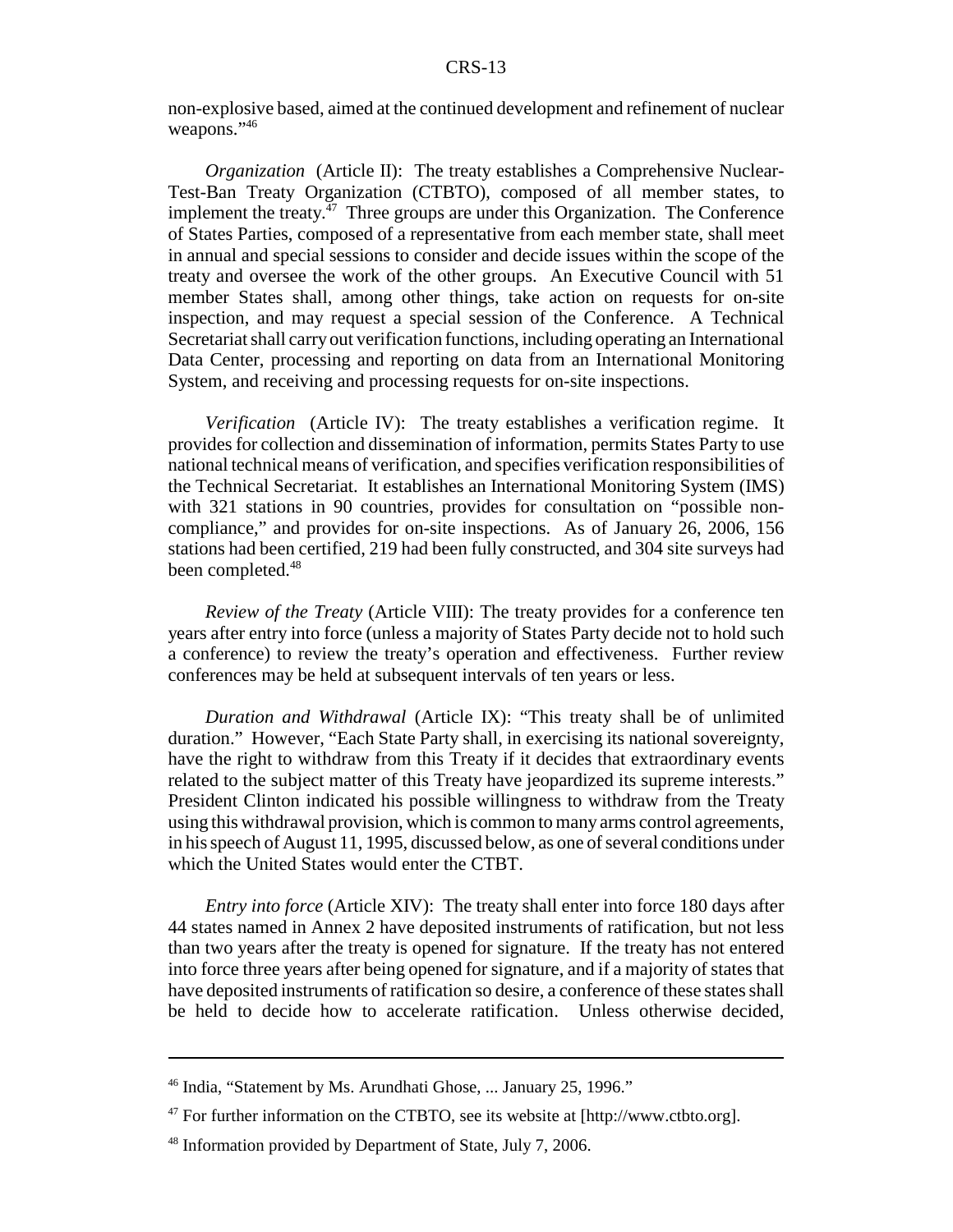non-explosive based, aimed at the continued development and refinement of nuclear weapons."46

*Organization* (Article II): The treaty establishes a Comprehensive Nuclear-Test-Ban Treaty Organization (CTBTO), composed of all member states, to implement the treaty. $47$  Three groups are under this Organization. The Conference of States Parties, composed of a representative from each member state, shall meet in annual and special sessions to consider and decide issues within the scope of the treaty and oversee the work of the other groups. An Executive Council with 51 member States shall, among other things, take action on requests for on-site inspection, and may request a special session of the Conference. A Technical Secretariat shall carry out verification functions, including operating an International Data Center, processing and reporting on data from an International Monitoring System, and receiving and processing requests for on-site inspections.

*Verification* (Article IV): The treaty establishes a verification regime. It provides for collection and dissemination of information, permits States Party to use national technical means of verification, and specifies verification responsibilities of the Technical Secretariat. It establishes an International Monitoring System (IMS) with 321 stations in 90 countries, provides for consultation on "possible noncompliance," and provides for on-site inspections. As of January 26, 2006, 156 stations had been certified, 219 had been fully constructed, and 304 site surveys had been completed.<sup>48</sup>

*Review of the Treaty* (Article VIII): The treaty provides for a conference ten years after entry into force (unless a majority of States Party decide not to hold such a conference) to review the treaty's operation and effectiveness. Further review conferences may be held at subsequent intervals of ten years or less.

*Duration and Withdrawal* (Article IX): "This treaty shall be of unlimited duration." However, "Each State Party shall, in exercising its national sovereignty, have the right to withdraw from this Treaty if it decides that extraordinary events related to the subject matter of this Treaty have jeopardized its supreme interests." President Clinton indicated his possible willingness to withdraw from the Treaty using this withdrawal provision, which is common to many arms control agreements, in his speech of August 11, 1995, discussed below, as one of several conditions under which the United States would enter the CTBT.

*Entry into force* (Article XIV): The treaty shall enter into force 180 days after 44 states named in Annex 2 have deposited instruments of ratification, but not less than two years after the treaty is opened for signature. If the treaty has not entered into force three years after being opened for signature, and if a majority of states that have deposited instruments of ratification so desire, a conference of these states shall be held to decide how to accelerate ratification. Unless otherwise decided,

<sup>46</sup> India, "Statement by Ms. Arundhati Ghose, ... January 25, 1996."

 $47$  For further information on the CTBTO, see its website at [http://www.ctbto.org].

<sup>&</sup>lt;sup>48</sup> Information provided by Department of State, July 7, 2006.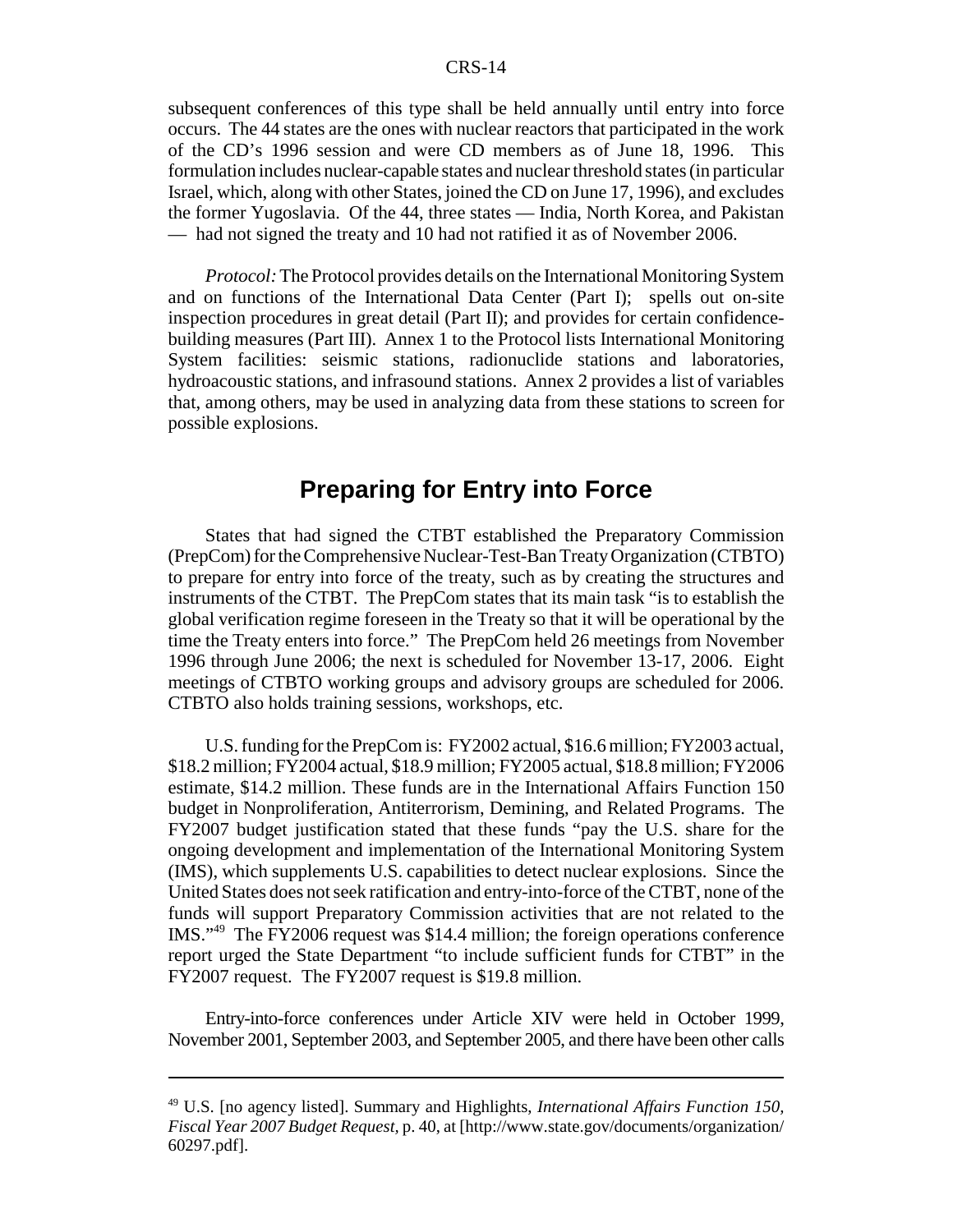subsequent conferences of this type shall be held annually until entry into force occurs. The 44 states are the ones with nuclear reactors that participated in the work of the CD's 1996 session and were CD members as of June 18, 1996. This formulation includes nuclear-capable states and nuclear threshold states (in particular Israel, which, along with other States, joined the CD on June 17, 1996), and excludes the former Yugoslavia. Of the 44, three states — India, North Korea, and Pakistan — had not signed the treaty and 10 had not ratified it as of November 2006.

*Protocol:* The Protocol provides details on the International Monitoring System and on functions of the International Data Center (Part I); spells out on-site inspection procedures in great detail (Part II); and provides for certain confidencebuilding measures (Part III). Annex 1 to the Protocol lists International Monitoring System facilities: seismic stations, radionuclide stations and laboratories, hydroacoustic stations, and infrasound stations. Annex 2 provides a list of variables that, among others, may be used in analyzing data from these stations to screen for possible explosions.

# **Preparing for Entry into Force**

States that had signed the CTBT established the Preparatory Commission (PrepCom) for the Comprehensive Nuclear-Test-Ban Treaty Organization (CTBTO) to prepare for entry into force of the treaty, such as by creating the structures and instruments of the CTBT. The PrepCom states that its main task "is to establish the global verification regime foreseen in the Treaty so that it will be operational by the time the Treaty enters into force." The PrepCom held 26 meetings from November 1996 through June 2006; the next is scheduled for November 13-17, 2006. Eight meetings of CTBTO working groups and advisory groups are scheduled for 2006. CTBTO also holds training sessions, workshops, etc.

U.S. funding for the PrepCom is: FY2002 actual, \$16.6 million; FY2003 actual, \$18.2 million; FY2004 actual, \$18.9 million; FY2005 actual, \$18.8 million; FY2006 estimate, \$14.2 million. These funds are in the International Affairs Function 150 budget in Nonproliferation, Antiterrorism, Demining, and Related Programs. The FY2007 budget justification stated that these funds "pay the U.S. share for the ongoing development and implementation of the International Monitoring System (IMS), which supplements U.S. capabilities to detect nuclear explosions. Since the United States does not seek ratification and entry-into-force of the CTBT, none of the funds will support Preparatory Commission activities that are not related to the IMS."49 The FY2006 request was \$14.4 million; the foreign operations conference report urged the State Department "to include sufficient funds for CTBT" in the FY2007 request. The FY2007 request is \$19.8 million.

Entry-into-force conferences under Article XIV were held in October 1999, November 2001, September 2003, and September 2005, and there have been other calls

<sup>49</sup> U.S. [no agency listed]. Summary and Highlights, *International Affairs Function 150, Fiscal Year 2007 Budget Request,* p. 40, at [http://www.state.gov/documents/organization/ 60297.pdf].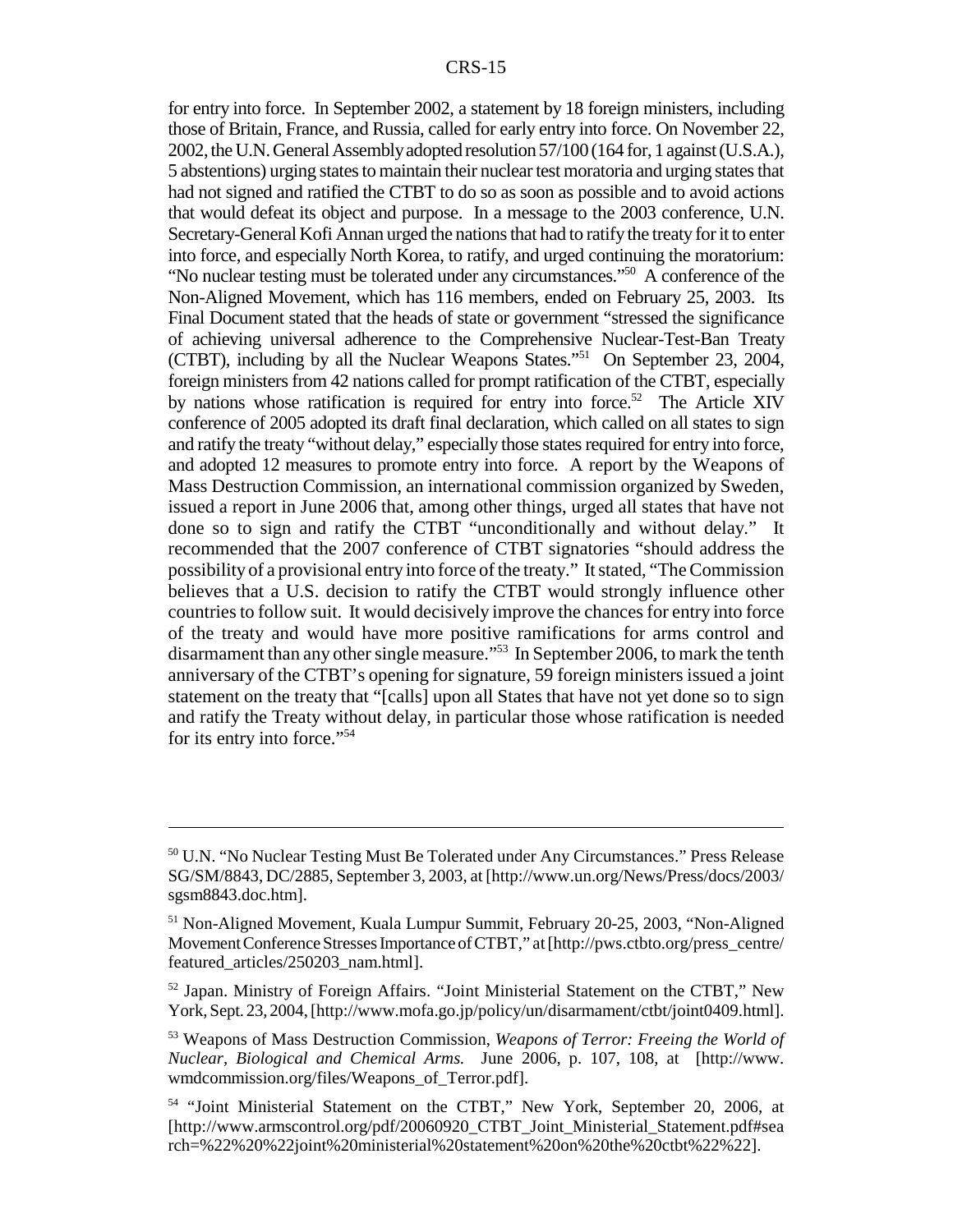for entry into force. In September 2002, a statement by 18 foreign ministers, including those of Britain, France, and Russia, called for early entry into force. On November 22, 2002, the U.N. General Assembly adopted resolution 57/100 (164 for, 1 against (U.S.A.), 5 abstentions) urging states to maintain their nuclear test moratoria and urging states that had not signed and ratified the CTBT to do so as soon as possible and to avoid actions that would defeat its object and purpose. In a message to the 2003 conference, U.N. Secretary-General Kofi Annan urged the nations that had to ratify the treaty for it to enter into force, and especially North Korea, to ratify, and urged continuing the moratorium: "No nuclear testing must be tolerated under any circumstances."50 A conference of the Non-Aligned Movement, which has 116 members, ended on February 25, 2003. Its Final Document stated that the heads of state or government "stressed the significance of achieving universal adherence to the Comprehensive Nuclear-Test-Ban Treaty (CTBT), including by all the Nuclear Weapons States."51 On September 23, 2004, foreign ministers from 42 nations called for prompt ratification of the CTBT, especially by nations whose ratification is required for entry into force.<sup>52</sup> The Article XIV conference of 2005 adopted its draft final declaration, which called on all states to sign and ratify the treaty "without delay," especially those states required for entry into force, and adopted 12 measures to promote entry into force. A report by the Weapons of Mass Destruction Commission, an international commission organized by Sweden, issued a report in June 2006 that, among other things, urged all states that have not done so to sign and ratify the CTBT "unconditionally and without delay." It recommended that the 2007 conference of CTBT signatories "should address the possibility of a provisional entry into force of the treaty." It stated, "The Commission believes that a U.S. decision to ratify the CTBT would strongly influence other countries to follow suit. It would decisively improve the chances for entry into force of the treaty and would have more positive ramifications for arms control and disarmament than any other single measure."53 In September 2006, to mark the tenth anniversary of the CTBT's opening for signature, 59 foreign ministers issued a joint statement on the treaty that "[calls] upon all States that have not yet done so to sign and ratify the Treaty without delay, in particular those whose ratification is needed for its entry into force."54

<sup>50</sup> U.N. "No Nuclear Testing Must Be Tolerated under Any Circumstances." Press Release SG/SM/8843, DC/2885, September 3, 2003, at [http://www.un.org/News/Press/docs/2003/ sgsm8843.doc.htm].

<sup>51</sup> Non-Aligned Movement, Kuala Lumpur Summit, February 20-25, 2003, "Non-Aligned Movement Conference Stresses Importance of CTBT," at [http://pws.ctbto.org/press\_centre/ featured\_articles/250203\_nam.html].

<sup>52</sup> Japan. Ministry of Foreign Affairs. "Joint Ministerial Statement on the CTBT," New York, Sept. 23, 2004, [http://www.mofa.go.jp/policy/un/disarmament/ctbt/joint0409.html].

<sup>53</sup> Weapons of Mass Destruction Commission, *Weapons of Terror: Freeing the World of Nuclear, Biological and Chemical Arms.* June 2006, p. 107, 108, at [http://www. wmdcommission.org/files/Weapons\_of\_Terror.pdf].

<sup>&</sup>lt;sup>54</sup> "Joint Ministerial Statement on the CTBT," New York, September 20, 2006, at [http://www.armscontrol.org/pdf/20060920\_CTBT\_Joint\_Ministerial\_Statement.pdf#sea rch=%22%20%22joint%20ministerial%20statement%20on%20the%20ctbt%22%22].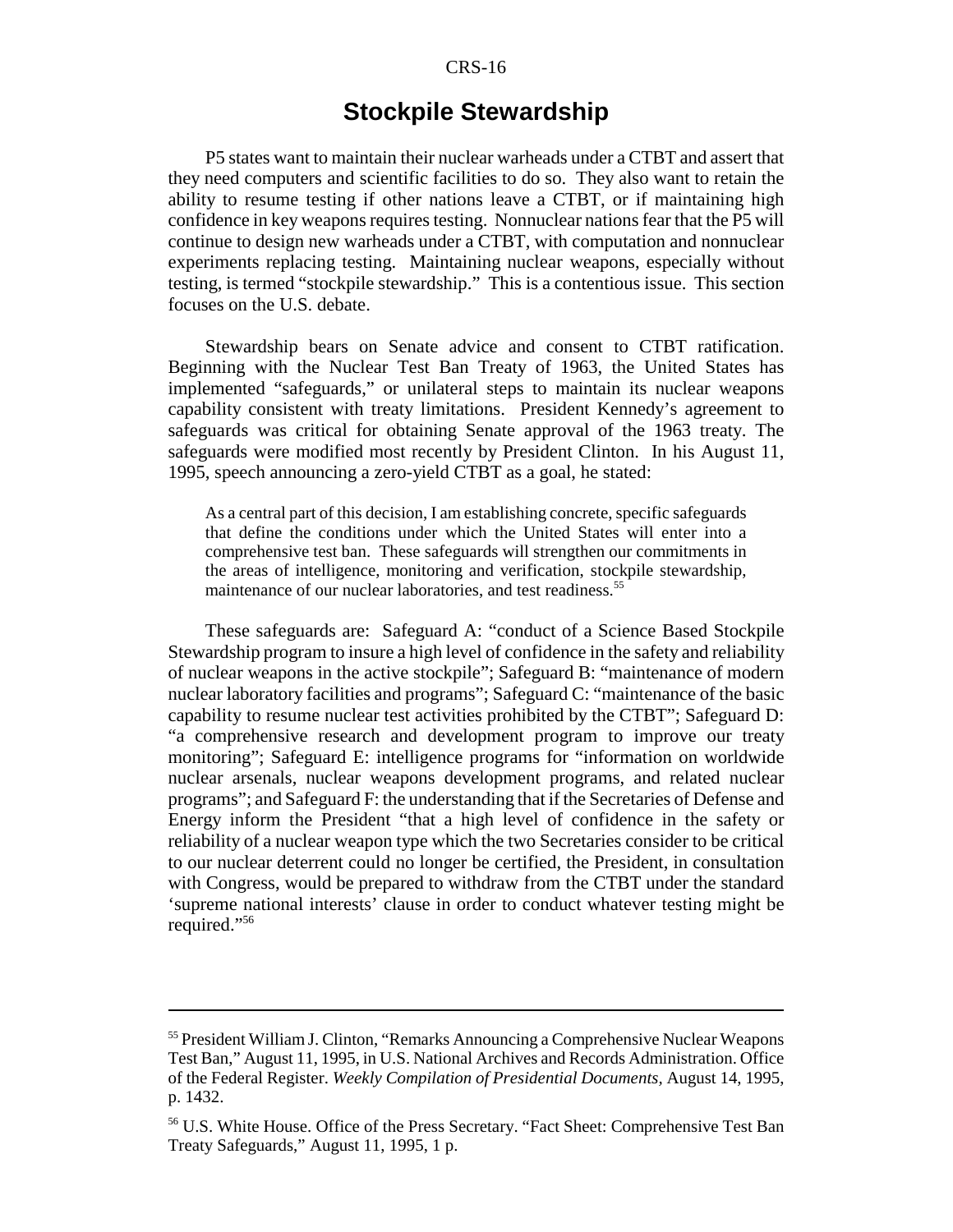# **Stockpile Stewardship**

P5 states want to maintain their nuclear warheads under a CTBT and assert that they need computers and scientific facilities to do so. They also want to retain the ability to resume testing if other nations leave a CTBT, or if maintaining high confidence in key weapons requires testing. Nonnuclear nations fear that the P5 will continue to design new warheads under a CTBT, with computation and nonnuclear experiments replacing testing. Maintaining nuclear weapons, especially without testing, is termed "stockpile stewardship." This is a contentious issue. This section focuses on the U.S. debate.

Stewardship bears on Senate advice and consent to CTBT ratification. Beginning with the Nuclear Test Ban Treaty of 1963, the United States has implemented "safeguards," or unilateral steps to maintain its nuclear weapons capability consistent with treaty limitations. President Kennedy's agreement to safeguards was critical for obtaining Senate approval of the 1963 treaty. The safeguards were modified most recently by President Clinton. In his August 11, 1995, speech announcing a zero-yield CTBT as a goal, he stated:

As a central part of this decision, I am establishing concrete, specific safeguards that define the conditions under which the United States will enter into a comprehensive test ban. These safeguards will strengthen our commitments in the areas of intelligence, monitoring and verification, stockpile stewardship, maintenance of our nuclear laboratories, and test readiness.<sup>55</sup>

These safeguards are: Safeguard A: "conduct of a Science Based Stockpile Stewardship program to insure a high level of confidence in the safety and reliability of nuclear weapons in the active stockpile"; Safeguard B: "maintenance of modern nuclear laboratory facilities and programs"; Safeguard C: "maintenance of the basic capability to resume nuclear test activities prohibited by the CTBT"; Safeguard D: "a comprehensive research and development program to improve our treaty monitoring"; Safeguard E: intelligence programs for "information on worldwide nuclear arsenals, nuclear weapons development programs, and related nuclear programs"; and Safeguard F: the understanding that if the Secretaries of Defense and Energy inform the President "that a high level of confidence in the safety or reliability of a nuclear weapon type which the two Secretaries consider to be critical to our nuclear deterrent could no longer be certified, the President, in consultation with Congress, would be prepared to withdraw from the CTBT under the standard 'supreme national interests' clause in order to conduct whatever testing might be required."56

<sup>55</sup> President William J. Clinton, "Remarks Announcing a Comprehensive Nuclear Weapons Test Ban," August 11, 1995, in U.S. National Archives and Records Administration. Office of the Federal Register. *Weekly Compilation of Presidential Documents,* August 14, 1995, p. 1432.

<sup>56</sup> U.S. White House. Office of the Press Secretary. "Fact Sheet: Comprehensive Test Ban Treaty Safeguards," August 11, 1995, 1 p.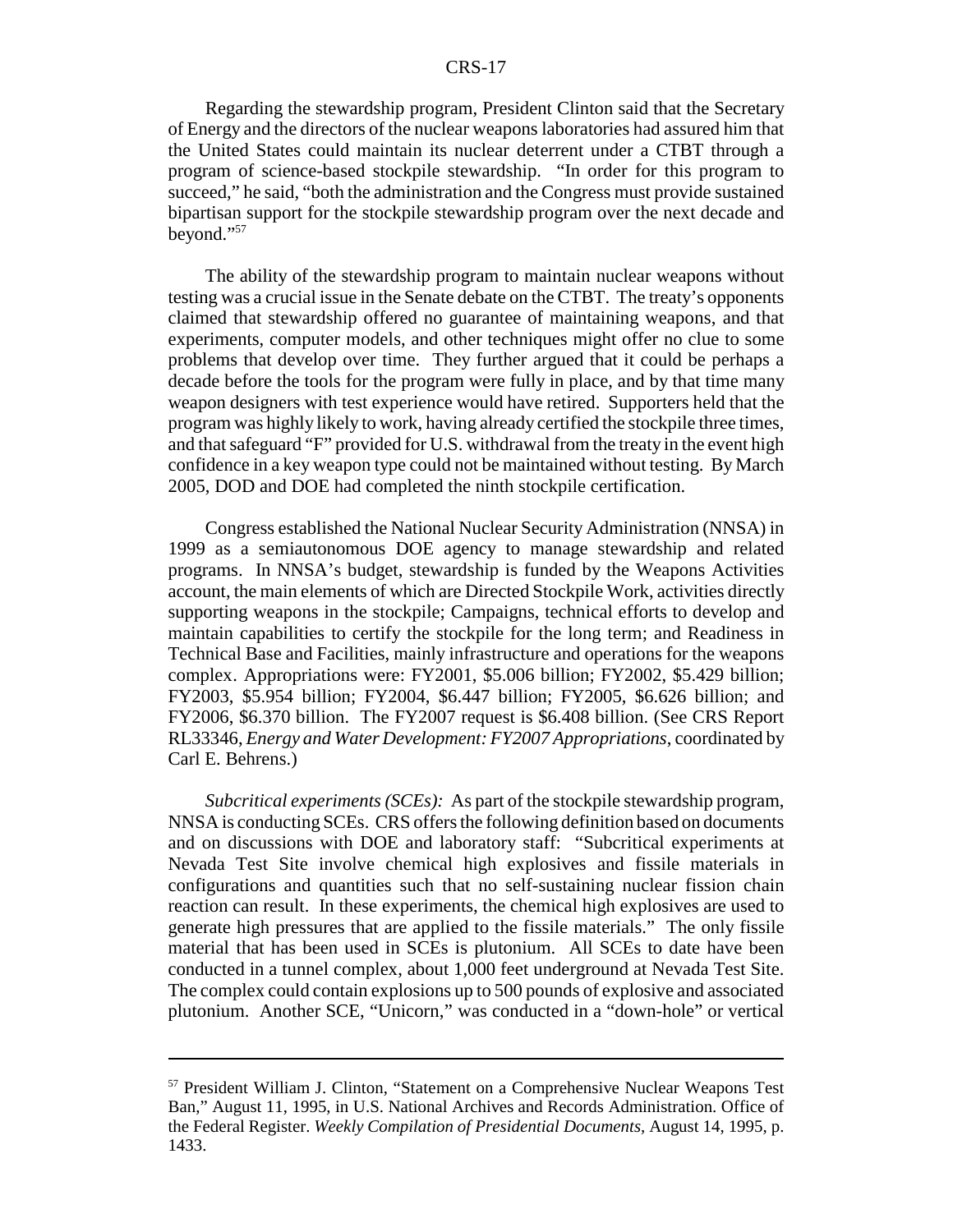Regarding the stewardship program, President Clinton said that the Secretary of Energy and the directors of the nuclear weapons laboratories had assured him that the United States could maintain its nuclear deterrent under a CTBT through a program of science-based stockpile stewardship. "In order for this program to succeed," he said, "both the administration and the Congress must provide sustained bipartisan support for the stockpile stewardship program over the next decade and beyond."57

The ability of the stewardship program to maintain nuclear weapons without testing was a crucial issue in the Senate debate on the CTBT. The treaty's opponents claimed that stewardship offered no guarantee of maintaining weapons, and that experiments, computer models, and other techniques might offer no clue to some problems that develop over time. They further argued that it could be perhaps a decade before the tools for the program were fully in place, and by that time many weapon designers with test experience would have retired. Supporters held that the program was highly likely to work, having already certified the stockpile three times, and that safeguard "F" provided for U.S. withdrawal from the treaty in the event high confidence in a key weapon type could not be maintained without testing. By March 2005, DOD and DOE had completed the ninth stockpile certification.

Congress established the National Nuclear Security Administration (NNSA) in 1999 as a semiautonomous DOE agency to manage stewardship and related programs. In NNSA's budget, stewardship is funded by the Weapons Activities account, the main elements of which are Directed Stockpile Work, activities directly supporting weapons in the stockpile; Campaigns, technical efforts to develop and maintain capabilities to certify the stockpile for the long term; and Readiness in Technical Base and Facilities, mainly infrastructure and operations for the weapons complex. Appropriations were: FY2001, \$5.006 billion; FY2002, \$5.429 billion; FY2003, \$5.954 billion; FY2004, \$6.447 billion; FY2005, \$6.626 billion; and FY2006, \$6.370 billion. The FY2007 request is \$6.408 billion. (See CRS Report RL33346, *Energy and Water Development: FY2007 Appropriations*, coordinated by Carl E. Behrens.)

*Subcritical experiments (SCEs):* As part of the stockpile stewardship program, NNSA is conducting SCEs. CRS offers the following definition based on documents and on discussions with DOE and laboratory staff: "Subcritical experiments at Nevada Test Site involve chemical high explosives and fissile materials in configurations and quantities such that no self-sustaining nuclear fission chain reaction can result. In these experiments, the chemical high explosives are used to generate high pressures that are applied to the fissile materials." The only fissile material that has been used in SCEs is plutonium. All SCEs to date have been conducted in a tunnel complex, about 1,000 feet underground at Nevada Test Site. The complex could contain explosions up to 500 pounds of explosive and associated plutonium. Another SCE, "Unicorn," was conducted in a "down-hole" or vertical

<sup>57</sup> President William J. Clinton, "Statement on a Comprehensive Nuclear Weapons Test Ban," August 11, 1995, in U.S. National Archives and Records Administration. Office of the Federal Register. *Weekly Compilation of Presidential Documents,* August 14, 1995, p. 1433.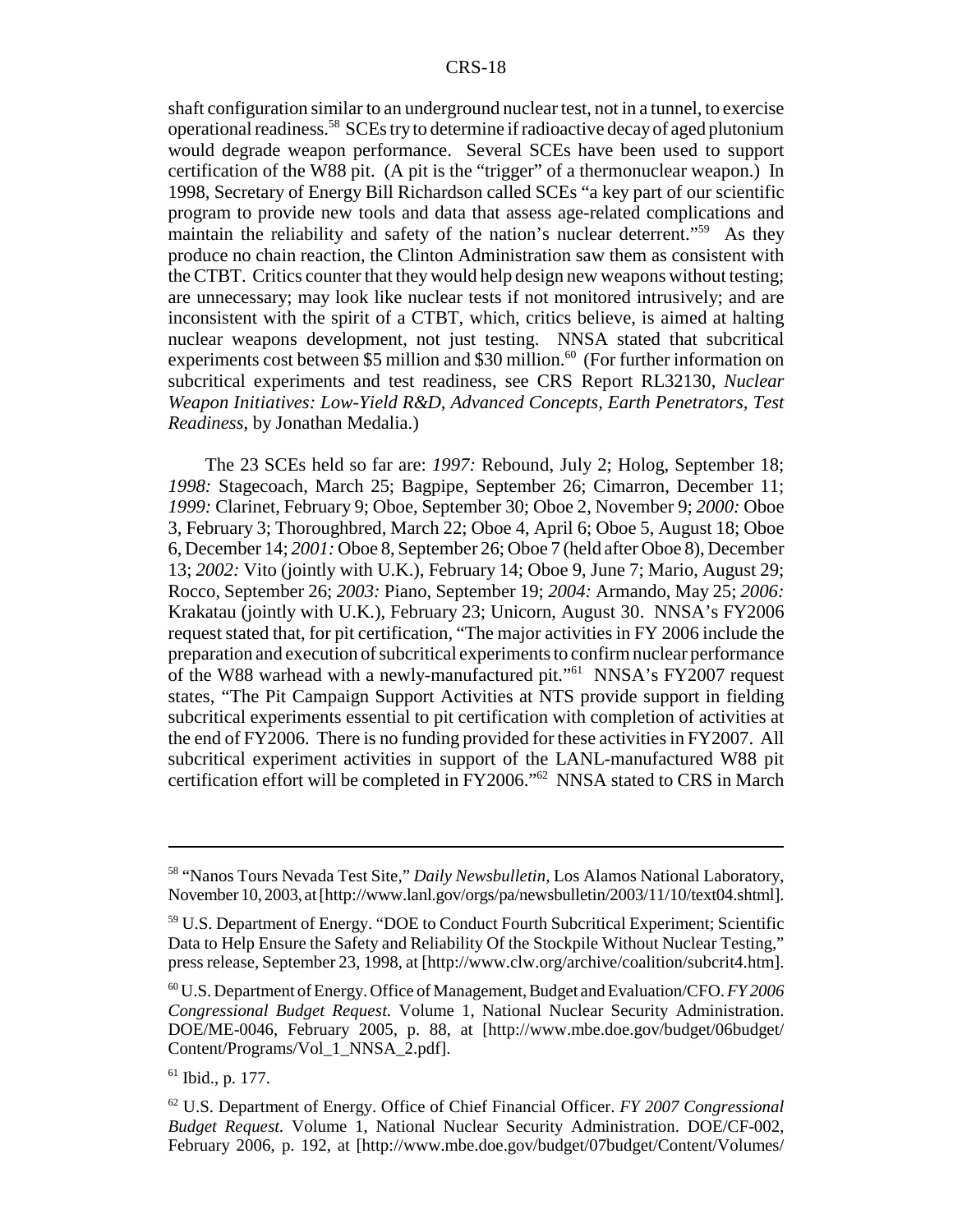shaft configuration similar to an underground nuclear test, not in a tunnel, to exercise operational readiness.58 SCEs try to determine if radioactive decay of aged plutonium would degrade weapon performance. Several SCEs have been used to support certification of the W88 pit. (A pit is the "trigger" of a thermonuclear weapon.) In 1998, Secretary of Energy Bill Richardson called SCEs "a key part of our scientific program to provide new tools and data that assess age-related complications and maintain the reliability and safety of the nation's nuclear deterrent."<sup>59</sup> As they produce no chain reaction, the Clinton Administration saw them as consistent with the CTBT. Critics counter that they would help design new weapons without testing; are unnecessary; may look like nuclear tests if not monitored intrusively; and are inconsistent with the spirit of a CTBT, which, critics believe, is aimed at halting nuclear weapons development, not just testing. NNSA stated that subcritical experiments cost between  $$5$  million and  $$30$  million.<sup>60</sup> (For further information on subcritical experiments and test readiness, see CRS Report RL32130, *Nuclear Weapon Initiatives: Low-Yield R&D, Advanced Concepts, Earth Penetrators, Test Readiness*, by Jonathan Medalia.)

The 23 SCEs held so far are: *1997:* Rebound, July 2; Holog, September 18; *1998:* Stagecoach, March 25; Bagpipe, September 26; Cimarron, December 11; *1999:* Clarinet, February 9; Oboe, September 30; Oboe 2, November 9; *2000:* Oboe 3, February 3; Thoroughbred, March 22; Oboe 4, April 6; Oboe 5, August 18; Oboe 6, December 14; *2001:* Oboe 8, September 26; Oboe 7 (held after Oboe 8), December 13; *2002:* Vito (jointly with U.K.), February 14; Oboe 9, June 7; Mario, August 29; Rocco, September 26; *2003:* Piano, September 19; *2004:* Armando, May 25; *2006:* Krakatau (jointly with U.K.), February 23; Unicorn, August 30. NNSA's FY2006 request stated that, for pit certification, "The major activities in FY 2006 include the preparation and execution of subcritical experiments to confirm nuclear performance of the W88 warhead with a newly-manufactured pit."61 NNSA's FY2007 request states, "The Pit Campaign Support Activities at NTS provide support in fielding subcritical experiments essential to pit certification with completion of activities at the end of FY2006. There is no funding provided for these activities in FY2007. All subcritical experiment activities in support of the LANL-manufactured W88 pit certification effort will be completed in FY2006."62 NNSA stated to CRS in March

<sup>58 &</sup>quot;Nanos Tours Nevada Test Site," *Daily Newsbulletin,* Los Alamos National Laboratory, November 10, 2003, at [http://www.lanl.gov/orgs/pa/newsbulletin/2003/11/10/text04.shtml].

<sup>59</sup> U.S. Department of Energy. "DOE to Conduct Fourth Subcritical Experiment; Scientific Data to Help Ensure the Safety and Reliability Of the Stockpile Without Nuclear Testing," press release, September 23, 1998, at [http://www.clw.org/archive/coalition/subcrit4.htm].

<sup>60</sup> U.S. Department of Energy. Office of Management, Budget and Evaluation/CFO. *FY 2006 Congressional Budget Request.* Volume 1, National Nuclear Security Administration. DOE/ME-0046, February 2005, p. 88, at [http://www.mbe.doe.gov/budget/06budget/ Content/Programs/Vol\_1\_NNSA\_2.pdf].

<sup>61</sup> Ibid., p. 177.

<sup>62</sup> U.S. Department of Energy. Office of Chief Financial Officer. *FY 2007 Congressional Budget Request.* Volume 1, National Nuclear Security Administration. DOE/CF-002, February 2006, p. 192, at [http://www.mbe.doe.gov/budget/07budget/Content/Volumes/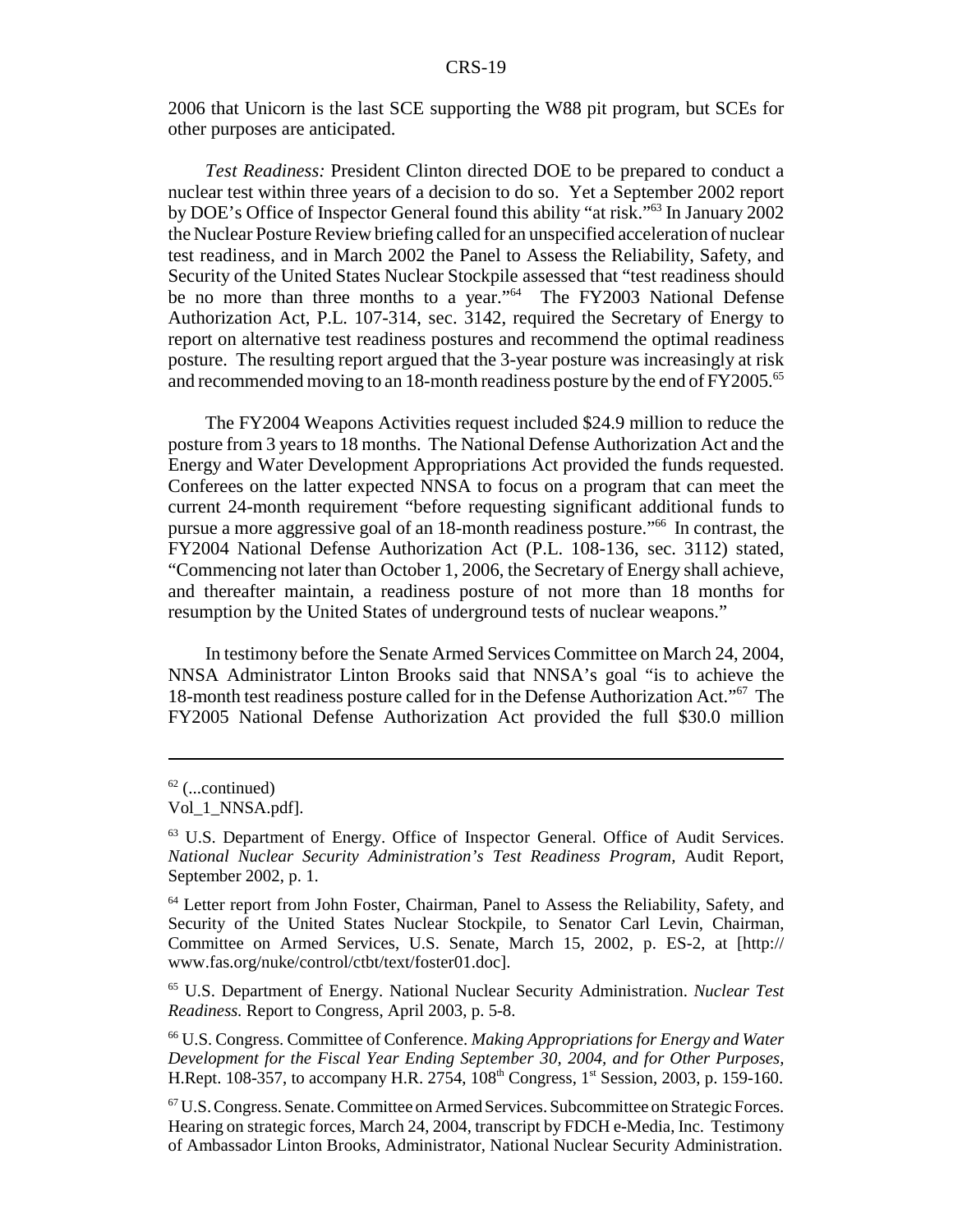2006 that Unicorn is the last SCE supporting the W88 pit program, but SCEs for other purposes are anticipated.

*Test Readiness:* President Clinton directed DOE to be prepared to conduct a nuclear test within three years of a decision to do so. Yet a September 2002 report by DOE's Office of Inspector General found this ability "at risk."63 In January 2002 the Nuclear Posture Review briefing called for an unspecified acceleration of nuclear test readiness, and in March 2002 the Panel to Assess the Reliability, Safety, and Security of the United States Nuclear Stockpile assessed that "test readiness should be no more than three months to a year."<sup>64</sup> The FY2003 National Defense Authorization Act, P.L. 107-314, sec. 3142, required the Secretary of Energy to report on alternative test readiness postures and recommend the optimal readiness posture. The resulting report argued that the 3-year posture was increasingly at risk and recommended moving to an 18-month readiness posture by the end of FY2005.<sup>65</sup>

The FY2004 Weapons Activities request included \$24.9 million to reduce the posture from 3 years to 18 months. The National Defense Authorization Act and the Energy and Water Development Appropriations Act provided the funds requested. Conferees on the latter expected NNSA to focus on a program that can meet the current 24-month requirement "before requesting significant additional funds to pursue a more aggressive goal of an 18-month readiness posture."66 In contrast, the FY2004 National Defense Authorization Act (P.L. 108-136, sec. 3112) stated, "Commencing not later than October 1, 2006, the Secretary of Energy shall achieve, and thereafter maintain, a readiness posture of not more than 18 months for resumption by the United States of underground tests of nuclear weapons."

In testimony before the Senate Armed Services Committee on March 24, 2004, NNSA Administrator Linton Brooks said that NNSA's goal "is to achieve the 18-month test readiness posture called for in the Defense Authorization Act."67 The FY2005 National Defense Authorization Act provided the full \$30.0 million

65 U.S. Department of Energy. National Nuclear Security Administration. *Nuclear Test Readiness.* Report to Congress, April 2003, p. 5-8.

 $62$  (...continued)

Vol 1\_NNSA.pdf].

<sup>63</sup> U.S. Department of Energy. Office of Inspector General. Office of Audit Services. *National Nuclear Security Administration's Test Readiness Program,* Audit Report, September 2002, p. 1.

<sup>64</sup> Letter report from John Foster, Chairman, Panel to Assess the Reliability, Safety, and Security of the United States Nuclear Stockpile, to Senator Carl Levin, Chairman, Committee on Armed Services, U.S. Senate, March 15, 2002, p. ES-2, at [http:// www.fas.org/nuke/control/ctbt/text/foster01.doc].

<sup>66</sup> U.S. Congress. Committee of Conference. *Making Appropriations for Energy and Water Development for the Fiscal Year Ending September 30, 2004, and for Other Purposes,* H.Rept. 108-357, to accompany H.R. 2754, 108<sup>th</sup> Congress, 1<sup>st</sup> Session, 2003, p. 159-160.

<sup>67</sup> U.S. Congress. Senate. Committee on Armed Services. Subcommittee on Strategic Forces. Hearing on strategic forces, March 24, 2004, transcript by FDCH e-Media, Inc. Testimony of Ambassador Linton Brooks, Administrator, National Nuclear Security Administration.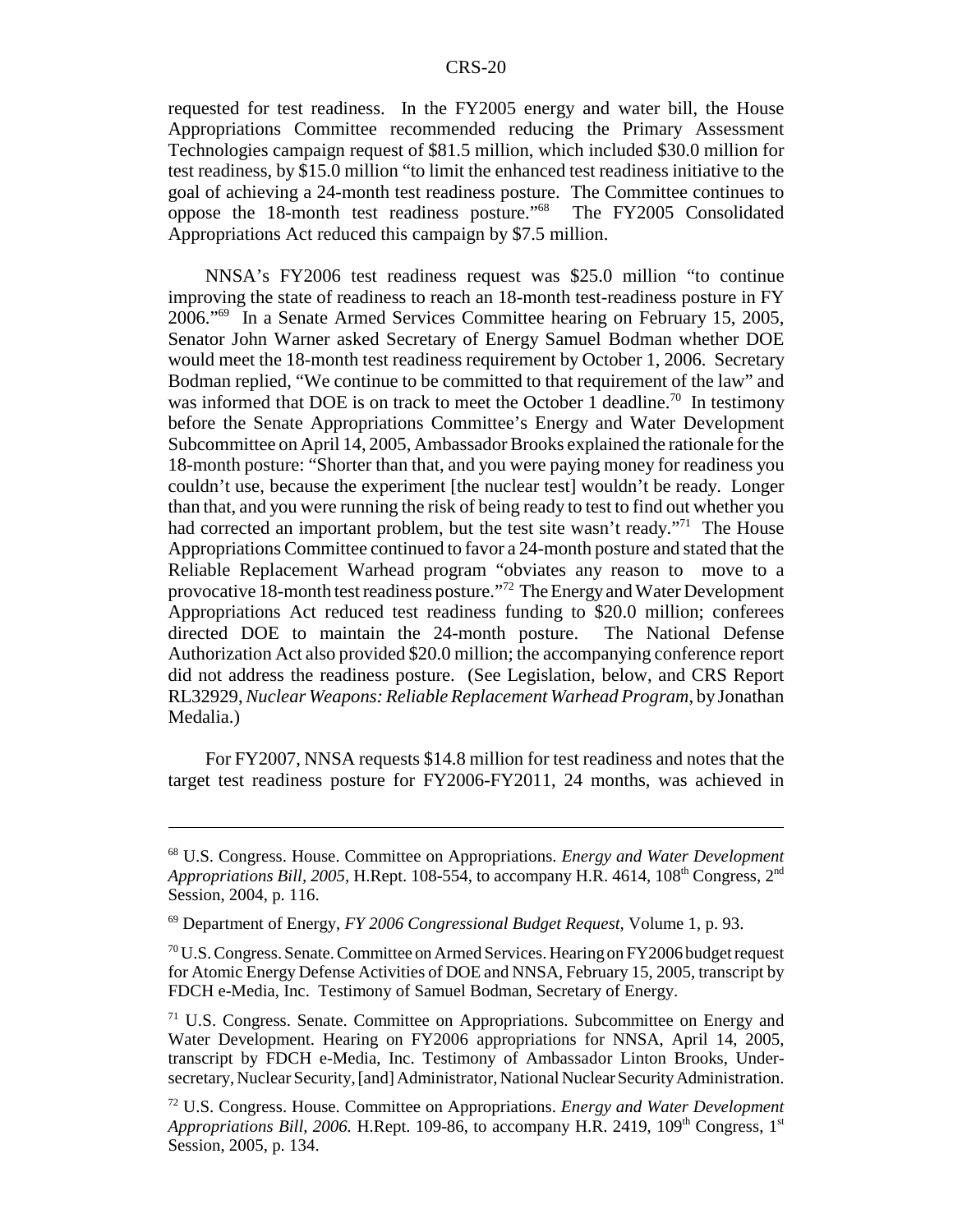requested for test readiness. In the FY2005 energy and water bill, the House Appropriations Committee recommended reducing the Primary Assessment Technologies campaign request of \$81.5 million, which included \$30.0 million for test readiness, by \$15.0 million "to limit the enhanced test readiness initiative to the goal of achieving a 24-month test readiness posture. The Committee continues to oppose the 18-month test readiness posture."68 The FY2005 Consolidated Appropriations Act reduced this campaign by \$7.5 million.

NNSA's FY2006 test readiness request was \$25.0 million "to continue improving the state of readiness to reach an 18-month test-readiness posture in FY 2006."69 In a Senate Armed Services Committee hearing on February 15, 2005, Senator John Warner asked Secretary of Energy Samuel Bodman whether DOE would meet the 18-month test readiness requirement by October 1, 2006. Secretary Bodman replied, "We continue to be committed to that requirement of the law" and was informed that DOE is on track to meet the October 1 deadline.<sup>70</sup> In testimony before the Senate Appropriations Committee's Energy and Water Development Subcommittee on April 14, 2005, Ambassador Brooks explained the rationale for the 18-month posture: "Shorter than that, and you were paying money for readiness you couldn't use, because the experiment [the nuclear test] wouldn't be ready. Longer than that, and you were running the risk of being ready to test to find out whether you had corrected an important problem, but the test site wasn't ready."<sup>71</sup> The House Appropriations Committee continued to favor a 24-month posture and stated that the Reliable Replacement Warhead program "obviates any reason to move to a provocative 18-month test readiness posture."72 The Energy and Water Development Appropriations Act reduced test readiness funding to \$20.0 million; conferees directed DOE to maintain the 24-month posture. The National Defense Authorization Act also provided \$20.0 million; the accompanying conference report did not address the readiness posture. (See Legislation, below, and CRS Report RL32929, *Nuclear Weapons: Reliable Replacement Warhead Program*, by Jonathan Medalia.)

For FY2007, NNSA requests \$14.8 million for test readiness and notes that the target test readiness posture for FY2006-FY2011, 24 months, was achieved in

<sup>68</sup> U.S. Congress. House. Committee on Appropriations. *Energy and Water Development Appropriations Bill, 2005, H.Rept. 108-554, to accompany H.R. 4614, 108<sup>th</sup> Congress, 2<sup>nd</sup>* Session, 2004, p. 116.

<sup>69</sup> Department of Energy, *FY 2006 Congressional Budget Request,* Volume 1, p. 93.

 $70$  U.S. Congress. Senate. Committee on Armed Services. Hearing on FY 2006 budget request for Atomic Energy Defense Activities of DOE and NNSA, February 15, 2005, transcript by FDCH e-Media, Inc. Testimony of Samuel Bodman, Secretary of Energy.

 $71$  U.S. Congress. Senate. Committee on Appropriations. Subcommittee on Energy and Water Development. Hearing on FY2006 appropriations for NNSA, April 14, 2005, transcript by FDCH e-Media, Inc. Testimony of Ambassador Linton Brooks, Undersecretary, Nuclear Security, [and] Administrator, National Nuclear Security Administration.

<sup>72</sup> U.S. Congress. House. Committee on Appropriations. *Energy and Water Development Appropriations Bill, 2006.* H.Rept. 109-86, to accompany H.R. 2419, 109<sup>th</sup> Congress, 1<sup>st</sup> Session, 2005, p. 134.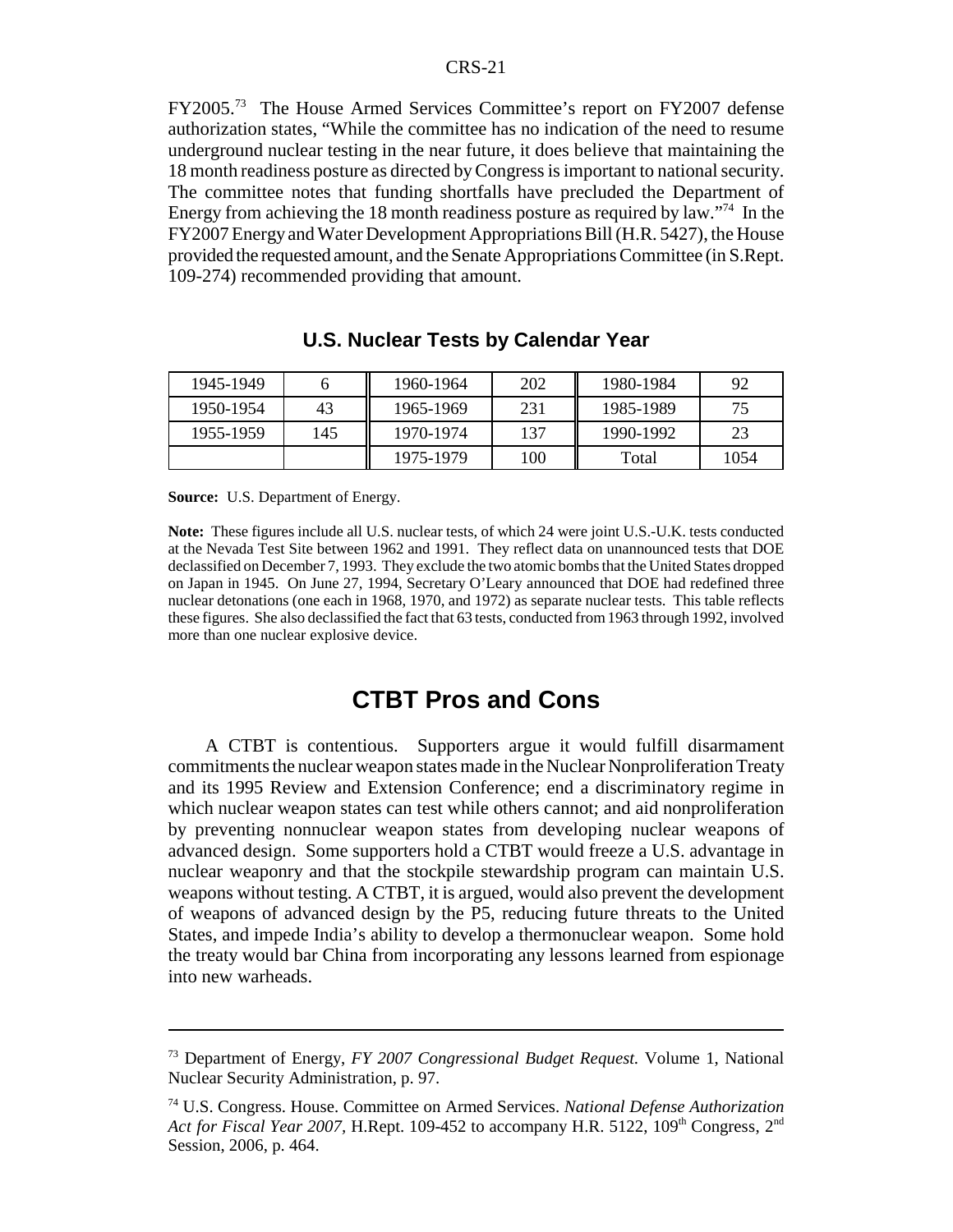FY2005.73 The House Armed Services Committee's report on FY2007 defense authorization states, "While the committee has no indication of the need to resume underground nuclear testing in the near future, it does believe that maintaining the 18 month readiness posture as directed by Congress is important to national security. The committee notes that funding shortfalls have precluded the Department of Energy from achieving the 18 month readiness posture as required by law."74 In the FY2007 Energy and Water Development Appropriations Bill (H.R. 5427), the House provided the requested amount, and the Senate Appropriations Committee (in S.Rept. 109-274) recommended providing that amount.

| 1945-1949 |     | 1960-1964 | 202 | 1980-1984 | 92   |
|-----------|-----|-----------|-----|-----------|------|
| 1950-1954 | 43  | 1965-1969 | 231 | 1985-1989 | 75   |
| 1955-1959 | 145 | 1970-1974 | 137 | 1990-1992 | 23   |
|           |     | 1975-1979 | 100 | Total     | 1054 |

#### **U.S. Nuclear Tests by Calendar Year**

**Source:** U.S. Department of Energy.

**Note:** These figures include all U.S. nuclear tests, of which 24 were joint U.S.-U.K. tests conducted at the Nevada Test Site between 1962 and 1991. They reflect data on unannounced tests that DOE declassified on December 7, 1993. They exclude the two atomic bombs that the United States dropped on Japan in 1945. On June 27, 1994, Secretary O'Leary announced that DOE had redefined three nuclear detonations (one each in 1968, 1970, and 1972) as separate nuclear tests. This table reflects these figures. She also declassified the fact that 63 tests, conducted from 1963 through 1992, involved more than one nuclear explosive device.

### **CTBT Pros and Cons**

A CTBT is contentious. Supporters argue it would fulfill disarmament commitments the nuclear weapon states made in the Nuclear Nonproliferation Treaty and its 1995 Review and Extension Conference; end a discriminatory regime in which nuclear weapon states can test while others cannot; and aid nonproliferation by preventing nonnuclear weapon states from developing nuclear weapons of advanced design. Some supporters hold a CTBT would freeze a U.S. advantage in nuclear weaponry and that the stockpile stewardship program can maintain U.S. weapons without testing. A CTBT, it is argued, would also prevent the development of weapons of advanced design by the P5, reducing future threats to the United States, and impede India's ability to develop a thermonuclear weapon. Some hold the treaty would bar China from incorporating any lessons learned from espionage into new warheads.

<sup>73</sup> Department of Energy, *FY 2007 Congressional Budget Request.* Volume 1, National Nuclear Security Administration, p. 97.

<sup>74</sup> U.S. Congress. House. Committee on Armed Services. *National Defense Authorization Act for Fiscal Year 2007,* H.Rept. 109-452 to accompany H.R. 5122, 109<sup>th</sup> Congress, 2<sup>nd</sup> Session, 2006, p. 464.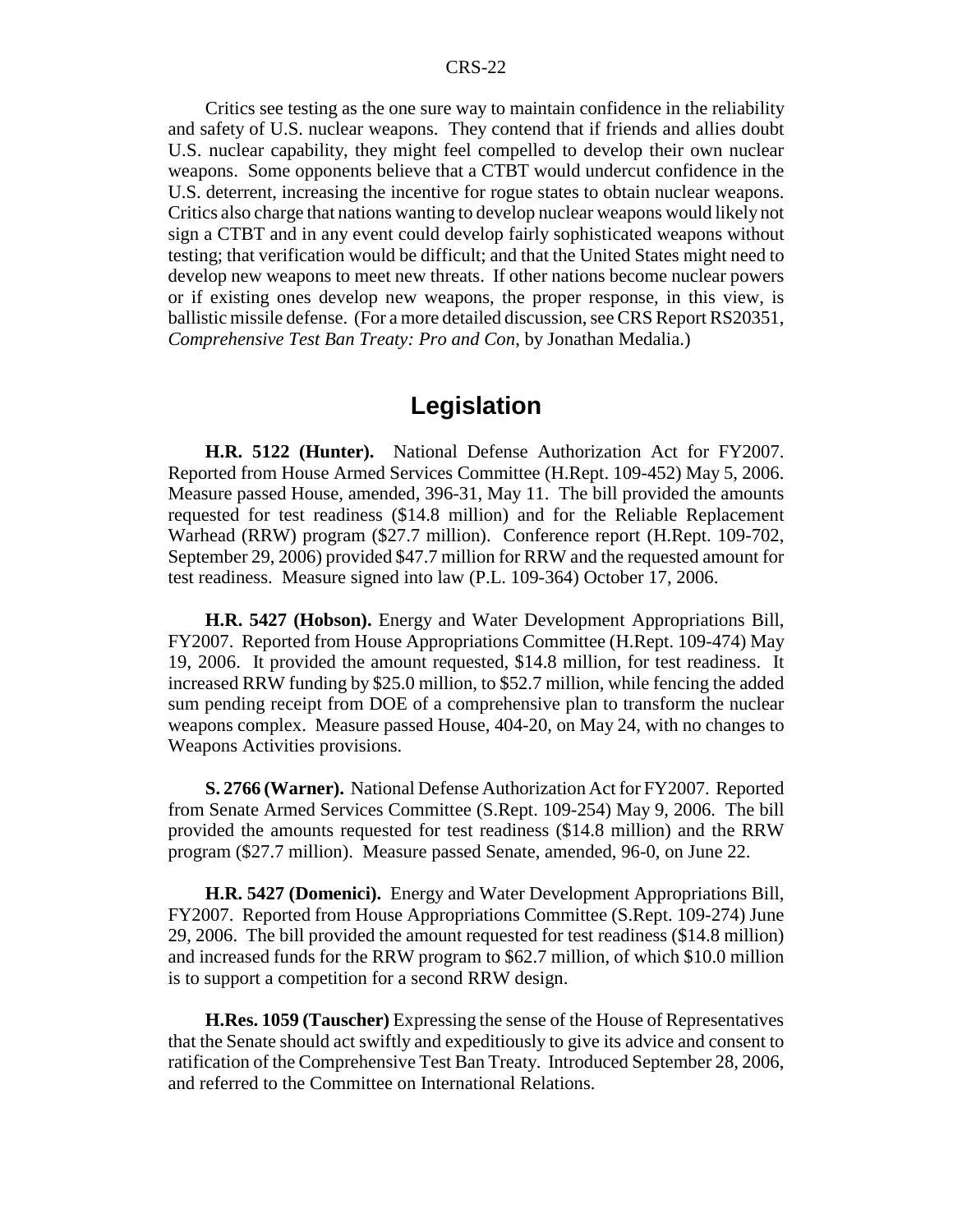Critics see testing as the one sure way to maintain confidence in the reliability and safety of U.S. nuclear weapons. They contend that if friends and allies doubt U.S. nuclear capability, they might feel compelled to develop their own nuclear weapons. Some opponents believe that a CTBT would undercut confidence in the U.S. deterrent, increasing the incentive for rogue states to obtain nuclear weapons. Critics also charge that nations wanting to develop nuclear weapons would likely not sign a CTBT and in any event could develop fairly sophisticated weapons without testing; that verification would be difficult; and that the United States might need to develop new weapons to meet new threats. If other nations become nuclear powers or if existing ones develop new weapons, the proper response, in this view, is ballistic missile defense. (For a more detailed discussion, see CRS Report RS20351, *Comprehensive Test Ban Treaty: Pro and Con*, by Jonathan Medalia.)

# **Legislation**

**H.R. 5122 (Hunter).** National Defense Authorization Act for FY2007. Reported from House Armed Services Committee (H.Rept. 109-452) May 5, 2006. Measure passed House, amended, 396-31, May 11. The bill provided the amounts requested for test readiness (\$14.8 million) and for the Reliable Replacement Warhead (RRW) program (\$27.7 million). Conference report (H.Rept. 109-702, September 29, 2006) provided \$47.7 million for RRW and the requested amount for test readiness. Measure signed into law (P.L. 109-364) October 17, 2006.

**H.R. 5427 (Hobson).** Energy and Water Development Appropriations Bill, FY2007. Reported from House Appropriations Committee (H.Rept. 109-474) May 19, 2006. It provided the amount requested, \$14.8 million, for test readiness. It increased RRW funding by \$25.0 million, to \$52.7 million, while fencing the added sum pending receipt from DOE of a comprehensive plan to transform the nuclear weapons complex. Measure passed House, 404-20, on May 24, with no changes to Weapons Activities provisions.

**S. 2766 (Warner).** National Defense Authorization Act for FY2007. Reported from Senate Armed Services Committee (S.Rept. 109-254) May 9, 2006. The bill provided the amounts requested for test readiness (\$14.8 million) and the RRW program (\$27.7 million). Measure passed Senate, amended, 96-0, on June 22.

**H.R. 5427 (Domenici).** Energy and Water Development Appropriations Bill, FY2007. Reported from House Appropriations Committee (S.Rept. 109-274) June 29, 2006. The bill provided the amount requested for test readiness (\$14.8 million) and increased funds for the RRW program to \$62.7 million, of which \$10.0 million is to support a competition for a second RRW design.

**H.Res. 1059 (Tauscher)** Expressing the sense of the House of Representatives that the Senate should act swiftly and expeditiously to give its advice and consent to ratification of the Comprehensive Test Ban Treaty. Introduced September 28, 2006, and referred to the Committee on International Relations.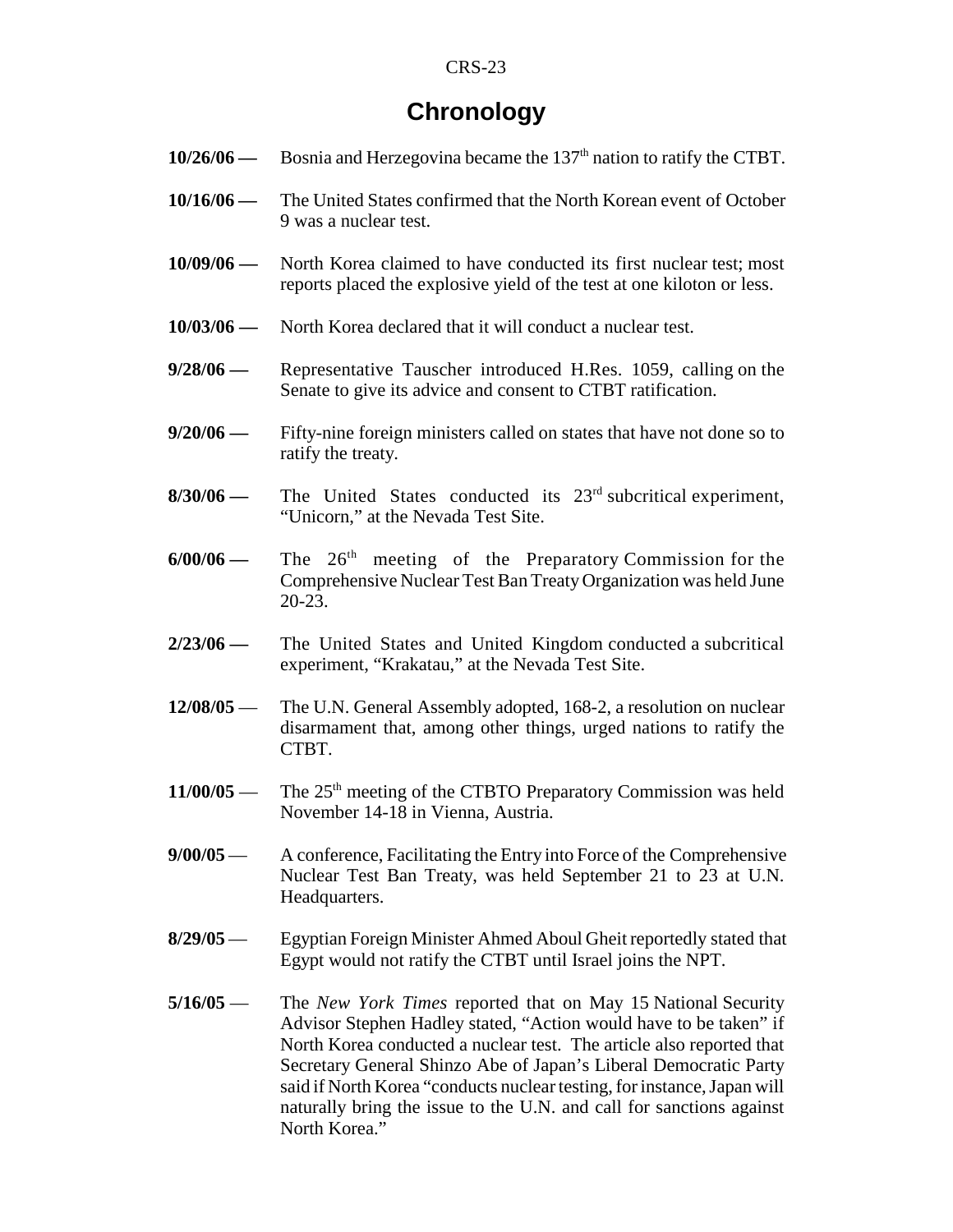# **Chronology**

- **10/26/06** Bosnia and Herzegovina became the 137<sup>th</sup> nation to ratify the CTBT.
- **10/16/06** The United States confirmed that the North Korean event of October 9 was a nuclear test.
- **10/09/06** North Korea claimed to have conducted its first nuclear test; most reports placed the explosive yield of the test at one kiloton or less.
- **10/03/06** North Korea declared that it will conduct a nuclear test.
- **9/28/06** Representative Tauscher introduced H.Res. 1059, calling on the Senate to give its advice and consent to CTBT ratification.
- **9/20/06** Fifty-nine foreign ministers called on states that have not done so to ratify the treaty.
- **8/30/06** The United States conducted its 23<sup>rd</sup> subcritical experiment, "Unicorn," at the Nevada Test Site.
- **6/00/06** The 26th meeting of the Preparatory Commission for the Comprehensive Nuclear Test Ban Treaty Organization was held June 20-23.
- **2/23/06** The United States and United Kingdom conducted a subcritical experiment, "Krakatau," at the Nevada Test Site.
- **12/08/05** The U.N. General Assembly adopted, 168-2, a resolution on nuclear disarmament that, among other things, urged nations to ratify the CTBT.
- **11/00/05** The 25<sup>th</sup> meeting of the CTBTO Preparatory Commission was held November 14-18 in Vienna, Austria.
- **9/00/05** A conference, Facilitating the Entry into Force of the Comprehensive Nuclear Test Ban Treaty, was held September 21 to 23 at U.N. Headquarters.
- **8/29/05** Egyptian Foreign Minister Ahmed Aboul Gheit reportedly stated that Egypt would not ratify the CTBT until Israel joins the NPT.
- **5/16/05** The *New York Times* reported that on May 15 National Security Advisor Stephen Hadley stated, "Action would have to be taken" if North Korea conducted a nuclear test. The article also reported that Secretary General Shinzo Abe of Japan's Liberal Democratic Party said if North Korea "conducts nuclear testing, for instance, Japan will naturally bring the issue to the U.N. and call for sanctions against North Korea."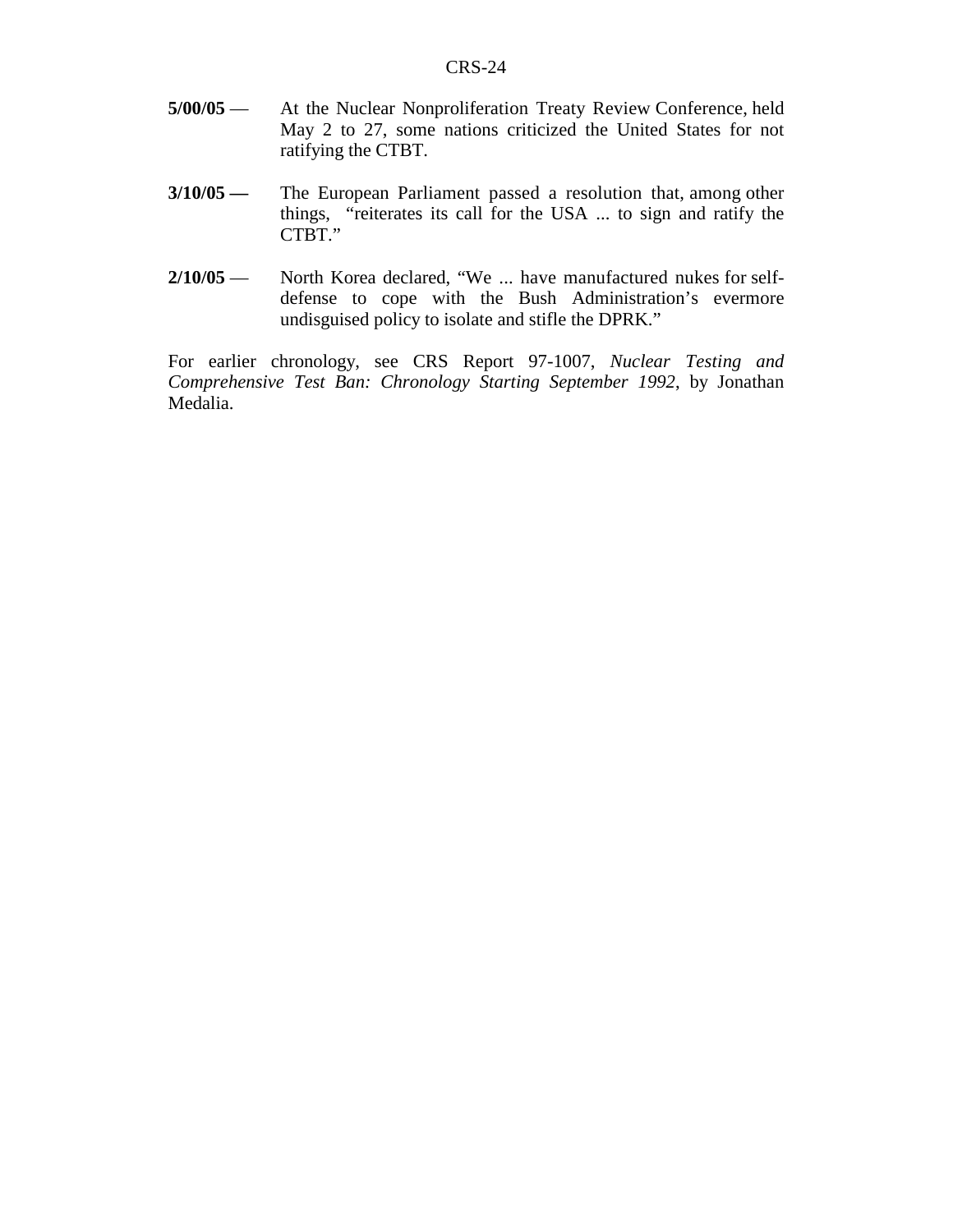- **5/00/05** At the Nuclear Nonproliferation Treaty Review Conference, held May 2 to 27, some nations criticized the United States for not ratifying the CTBT.
- **3/10/05** The European Parliament passed a resolution that, among other things, "reiterates its call for the USA ... to sign and ratify the CTBT."
- **2/10/05** North Korea declared, "We ... have manufactured nukes for selfdefense to cope with the Bush Administration's evermore undisguised policy to isolate and stifle the DPRK."

For earlier chronology, see CRS Report 97-1007, *Nuclear Testing and Comprehensive Test Ban: Chronology Starting September 1992*, by Jonathan Medalia.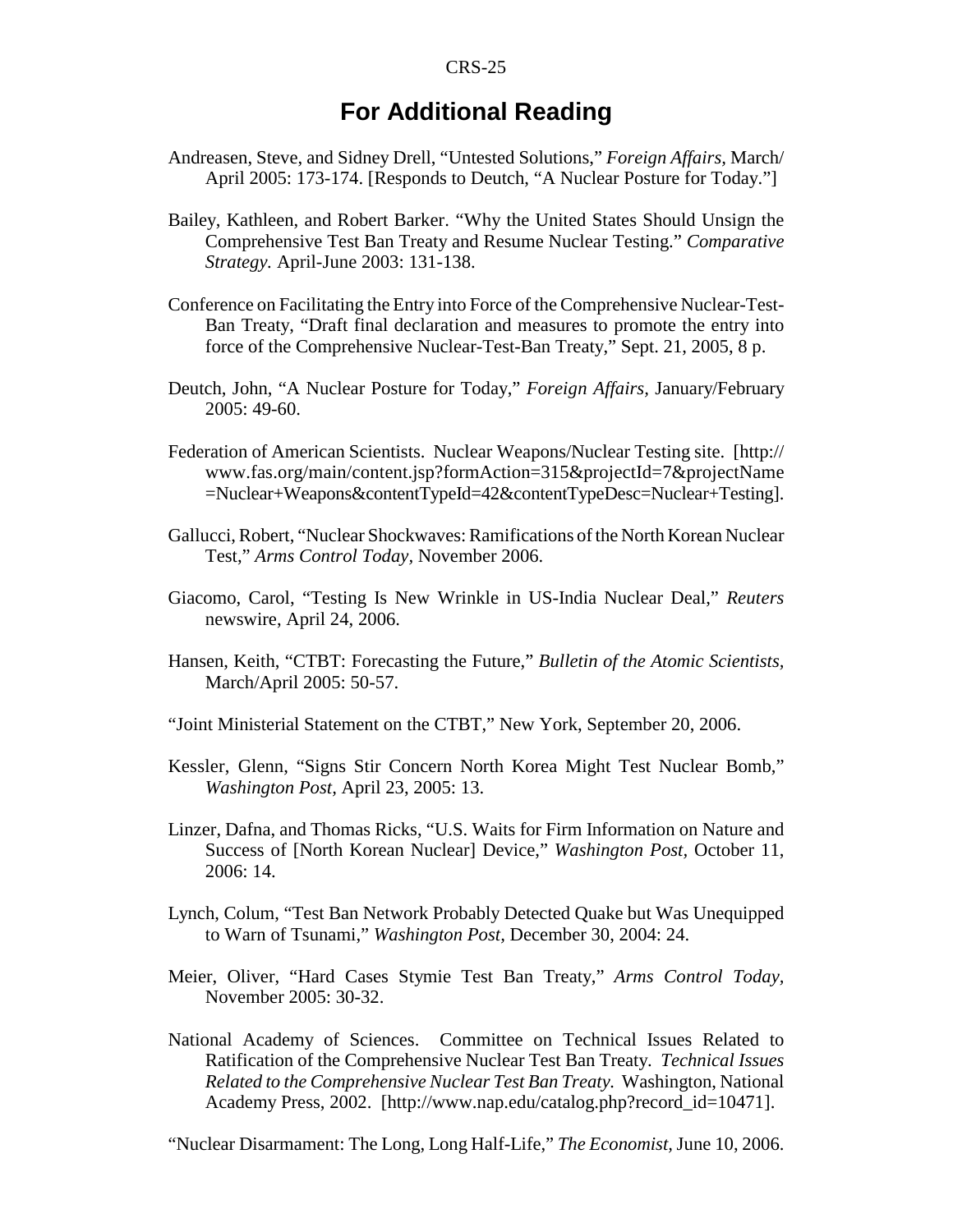# **For Additional Reading**

- Andreasen, Steve, and Sidney Drell, "Untested Solutions," *Foreign Affairs,* March/ April 2005: 173-174. [Responds to Deutch, "A Nuclear Posture for Today."]
- Bailey, Kathleen, and Robert Barker. "Why the United States Should Unsign the Comprehensive Test Ban Treaty and Resume Nuclear Testing." *Comparative Strategy.* April-June 2003: 131-138.
- Conference on Facilitating the Entry into Force of the Comprehensive Nuclear-Test-Ban Treaty, "Draft final declaration and measures to promote the entry into force of the Comprehensive Nuclear-Test-Ban Treaty," Sept. 21, 2005, 8 p.
- Deutch, John, "A Nuclear Posture for Today," *Foreign Affairs,* January/February 2005: 49-60.
- Federation of American Scientists. Nuclear Weapons/Nuclear Testing site. [http:// www.fas.org/main/content.jsp?formAction=315&projectId=7&projectName =Nuclear+Weapons&contentTypeId=42&contentTypeDesc=Nuclear+Testing].
- Gallucci, Robert, "Nuclear Shockwaves: Ramifications of the North Korean Nuclear Test," *Arms Control Today,* November 2006.
- Giacomo, Carol, "Testing Is New Wrinkle in US-India Nuclear Deal," *Reuters* newswire, April 24, 2006.
- Hansen, Keith, "CTBT: Forecasting the Future," *Bulletin of the Atomic Scientists,* March/April 2005: 50-57.
- "Joint Ministerial Statement on the CTBT," New York, September 20, 2006.
- Kessler, Glenn, "Signs Stir Concern North Korea Might Test Nuclear Bomb," *Washington Post,* April 23, 2005: 13.
- Linzer, Dafna, and Thomas Ricks, "U.S. Waits for Firm Information on Nature and Success of [North Korean Nuclear] Device," *Washington Post,* October 11, 2006: 14.
- Lynch, Colum, "Test Ban Network Probably Detected Quake but Was Unequipped to Warn of Tsunami," *Washington Post,* December 30, 2004: 24.
- Meier, Oliver, "Hard Cases Stymie Test Ban Treaty," *Arms Control Today,* November 2005: 30-32.
- National Academy of Sciences. Committee on Technical Issues Related to Ratification of the Comprehensive Nuclear Test Ban Treaty. *Technical Issues Related to the Comprehensive Nuclear Test Ban Treaty.* Washington, National Academy Press, 2002. [http://www.nap.edu/catalog.php?record\_id=10471].

"Nuclear Disarmament: The Long, Long Half-Life," *The Economist,* June 10, 2006.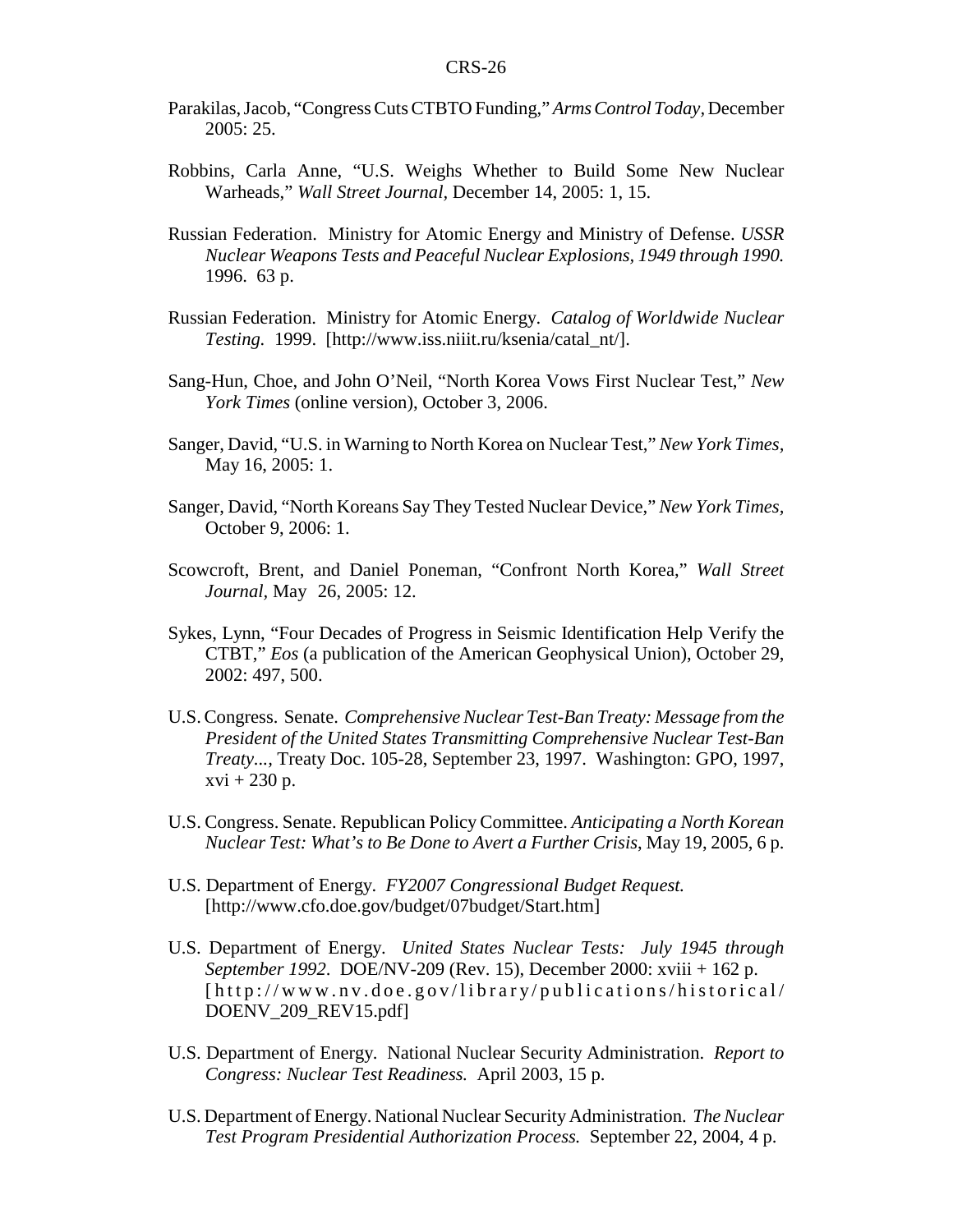- Parakilas, Jacob, "Congress Cuts CTBTO Funding," *Arms Control Today,* December 2005: 25.
- Robbins, Carla Anne, "U.S. Weighs Whether to Build Some New Nuclear Warheads," *Wall Street Journal,* December 14, 2005: 1, 15.
- Russian Federation. Ministry for Atomic Energy and Ministry of Defense. *USSR Nuclear Weapons Tests and Peaceful Nuclear Explosions, 1949 through 1990.* 1996. 63 p.
- Russian Federation. Ministry for Atomic Energy. *Catalog of Worldwide Nuclear Testing.* 1999. [http://www.iss.niiit.ru/ksenia/catal\_nt/].
- Sang-Hun, Choe, and John O'Neil, "North Korea Vows First Nuclear Test," *New York Times* (online version), October 3, 2006.
- Sanger, David, "U.S. in Warning to North Korea on Nuclear Test," *New York Times,* May 16, 2005: 1.
- Sanger, David, "North Koreans Say They Tested Nuclear Device," *New York Times,* October 9, 2006: 1.
- Scowcroft, Brent, and Daniel Poneman, "Confront North Korea," *Wall Street Journal,* May 26, 2005: 12.
- Sykes, Lynn, "Four Decades of Progress in Seismic Identification Help Verify the CTBT," *Eos* (a publication of the American Geophysical Union), October 29, 2002: 497, 500.
- U.S. Congress. Senate. *Comprehensive Nuclear Test-Ban Treaty: Message from the President of the United States Transmitting Comprehensive Nuclear Test-Ban Treaty...,* Treaty Doc. 105-28, September 23, 1997. Washington: GPO, 1997,  $xvi + 230 p.$
- U.S. Congress. Senate. Republican Policy Committee. *Anticipating a North Korean Nuclear Test: What's to Be Done to Avert a Further Crisis*, May 19, 2005, 6 p.
- U.S. Department of Energy. *FY2007 Congressional Budget Request.* [http://www.cfo.doe.gov/budget/07budget/Start.htm]
- U.S. Department of Energy. *United States Nuclear Tests: July 1945 through September 1992*. DOE/NV-209 (Rev. 15), December 2000: xviii + 162 p. [http://www.nv.doe.gov /library/publications/historical/ DOENV\_209\_REV15.pdf]
- U.S. Department of Energy. National Nuclear Security Administration. *Report to Congress: Nuclear Test Readiness.* April 2003, 15 p.
- U.S. Department of Energy. National Nuclear Security Administration. *The Nuclear Test Program Presidential Authorization Process.* September 22, 2004, 4 p.